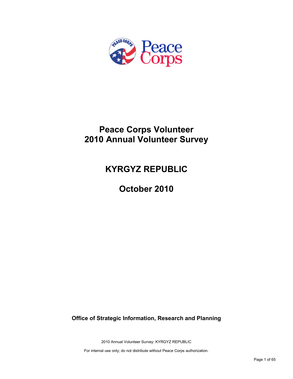

# **Peace Corps Volunteer 2010 Annual Volunteer Survey**

# **KYRGYZ REPUBLIC**

**October 2010**

**Office of Strategic Information, Research and Planning**

2010 Annual Volunteer Survey: KYRGYZ REPUBLIC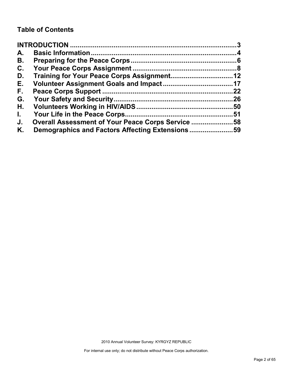# **Table of Contents**

| A.           |                                                   |     |
|--------------|---------------------------------------------------|-----|
| В.           |                                                   |     |
| C.           |                                                   |     |
| D.           |                                                   |     |
| Е.           |                                                   |     |
| F.,          |                                                   | 22  |
| G.           |                                                   | .26 |
| Н.           |                                                   |     |
| $\mathbf{L}$ |                                                   |     |
| J.           | Overall Assessment of Your Peace Corps Service 58 |     |
| Κ.           | Demographics and Factors Affecting Extensions59   |     |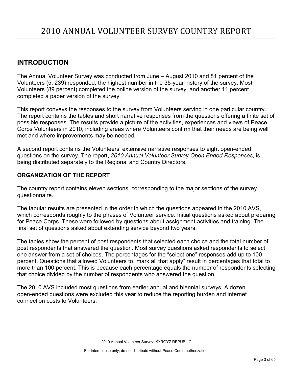# <span id="page-2-0"></span>**INTRODUCTION**

The Annual Volunteer Survey was conducted from June – August 2010 and 81 percent of the Volunteers (5, 239) responded, the highest number in the 35-year history of the survey. Most Volunteers (89 percent) completed the online version of the survey, and another 11 percent completed a paper version of the survey.

This report conveys the responses to the survey from Volunteers serving in one particular country. The report contains the tables and short narrative responses from the questions offering a finite set of possible responses. The results provide a picture of the activities, experiences and views of Peace Corps Volunteers in 2010, including areas where Volunteers confirm that their needs are being well met and where improvements may be needed.

A second report contains the Volunteers' extensive narrative responses to eight open-ended questions on the survey. The report, *2010 Annual Volunteer Survey Open Ended Responses,* is being distributed separately to the Regional and Country Directors.

# **ORGANIZATION OF THE REPORT**

The country report contains eleven sections, corresponding to the major sections of the survey questionnaire.

The tabular results are presented in the order in which the questions appeared in the 2010 AVS, which corresponds roughly to the phases of Volunteer service. Initial questions asked about preparing for Peace Corps. These were followed by questions about assignment activities and training. The final set of questions asked about extending service beyond two years.

The tables show the percent of post respondents that selected each choice and the total number of post respondents that answered the question. Most survey questions asked respondents to select one answer from a set of choices. The percentages for the "select one" responses add up to 100 percent. Questions that allowed Volunteers to "mark all that apply" result in percentages that total to more than 100 percent. This is because each percentage equals the number of respondents selecting that choice divided by the number of respondents who answered the question.

The 2010 AVS included most questions from earlier annual and biennial surveys. A dozen open-ended questions were excluded this year to reduce the reporting burden and internet connection costs to Volunteers.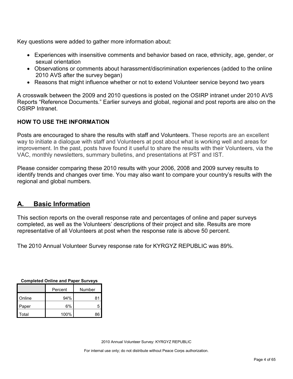Key questions were added to gather more information about:

- Experiences with insensitive comments and behavior based on race, ethnicity, age, gender, or sexual orientation
- Observations or comments about harassment/discrimination experiences (added to the online 2010 AVS after the survey began)
- Reasons that might influence whether or not to extend Volunteer service beyond two years

A crosswalk between the 2009 and 2010 questions is posted on the OSIRP intranet under 2010 AVS Reports "Reference Documents." Earlier surveys and global, regional and post reports are also on the OSIRP Intranet.

# **HOW TO USE THE INFORMATION**

Posts are encouraged to share the results with staff and Volunteers. These reports are an excellent way to initiate a dialogue with staff and Volunteers at post about what is working well and areas for improvement. In the past, posts have found it useful to share the results with their Volunteers, via the VAC, monthly newsletters, summary bulletins, and presentations at PST and IST.

Please consider comparing these 2010 results with your 2006, 2008 and 2009 survey results to identify trends and changes over time. You may also want to compare your country's results with the regional and global numbers.

# <span id="page-3-0"></span>**A. Basic Information**

This section reports on the overall response rate and percentages of online and paper surveys completed, as well as the Volunteers' descriptions of their project and site. Results are more representative of all Volunteers at post when the response rate is above 50 percent.

The 2010 Annual Volunteer Survey response rate for KYRGYZ REPUBLIC was 89%.

| <b>Completed Online and Paper Surveys</b> |      |    |  |  |  |
|-------------------------------------------|------|----|--|--|--|
| Number<br>Percent                         |      |    |  |  |  |
| Online                                    | 94%  | 81 |  |  |  |
| Paper                                     | 6%   | 5  |  |  |  |
| Total                                     | 100% | 8F |  |  |  |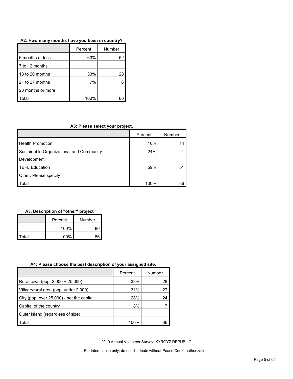### **A2: How many months have you been in country?**

|                   | Percent | Number |
|-------------------|---------|--------|
| 6 months or less  | 60%     | 52     |
| 7 to 12 months    |         |        |
| 13 to 20 months   | 33%     | 28     |
| 21 to 27 months   | 7%      |        |
| 28 months or more |         |        |
| otal              | 100%    |        |

#### **A3: Please select your project.**

|                                          | Percent | Number |
|------------------------------------------|---------|--------|
| <b>Health Promotion</b>                  | 16%     | 14     |
| Sustainable Organizational and Community | 24%     | 21     |
| Development                              |         |        |
| <b>TEFL Education</b>                    | 59%     | 51     |
| Other. Please specify                    |         |        |
| Total                                    | 100%    | 86     |

#### **A3. Description of "other" project**

|       | Number<br>Percent |    |
|-------|-------------------|----|
|       | 100%              |    |
| Total | 100%              | ጻհ |

#### **A4: Please choose the best description of your assigned site.**

|                                           | Percent | Number |
|-------------------------------------------|---------|--------|
| Rural town (pop. 2,000 + 25,000)          | 33%     | 28     |
| Village/rural area (pop. under 2,000)     | 31%     | 27     |
| City (pop. over 25,000) - not the capital | 28%     | 24     |
| Capital of the country                    | 8%      |        |
| Outer island (regardless of size)         |         |        |
| Total                                     | 100%    | 86     |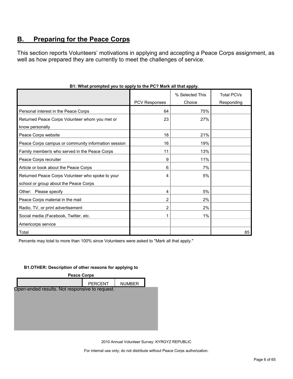# <span id="page-5-0"></span>**B. Preparing for the Peace Corps**

This section reports Volunteers' motivations in applying and accepting a Peace Corps assignment, as well as how prepared they are currently to meet the challenges of service.

|                                                     |                      | % Selected This | <b>Total PCVs</b> |
|-----------------------------------------------------|----------------------|-----------------|-------------------|
|                                                     | <b>PCV Responses</b> | Choice          | Responding        |
| Personal interest in the Peace Corps                | 64                   | 75%             |                   |
| Returned Peace Corps Volunteer whom you met or      | 23                   | 27%             |                   |
| know personally                                     |                      |                 |                   |
| Peace Corps website                                 | 18                   | 21%             |                   |
| Peace Corps campus or community information session | 16                   | 19%             |                   |
| Family member/s who served in the Peace Corps       | 11                   | 13%             |                   |
| Peace Corps recruiter                               | 9                    | 11%             |                   |
| Article or book about the Peace Corps               | 6                    | 7%              |                   |
| Returned Peace Corps Volunteer who spoke to your    | 4                    | 5%              |                   |
| school or group about the Peace Corps               |                      |                 |                   |
| Other: Please specify                               | 4                    | 5%              |                   |
| Peace Corps material in the mail                    | 2                    | 2%              |                   |
| Radio, TV, or print advertisement                   | 2                    | 2%              |                   |
| Social media (Facebook, Twitter, etc.               |                      | 1%              |                   |
| Americorps service                                  |                      |                 |                   |
| Total                                               |                      |                 | 85                |

# **B1: What prompted you to apply to the PC? Mark all that apply.**

Percents may total to more than 100% since Volunteers were asked to "Mark all that apply."

#### **B1.OTHER: Description of other reasons for applying to**

| <b>Peace Corps</b>                             |                |               |  |  |  |
|------------------------------------------------|----------------|---------------|--|--|--|
|                                                | <b>PERCENT</b> | <b>NUMBER</b> |  |  |  |
| Open-ended results. Not responsive to request. |                |               |  |  |  |
|                                                |                |               |  |  |  |
|                                                |                |               |  |  |  |
|                                                |                |               |  |  |  |
|                                                |                |               |  |  |  |
|                                                |                |               |  |  |  |
|                                                |                |               |  |  |  |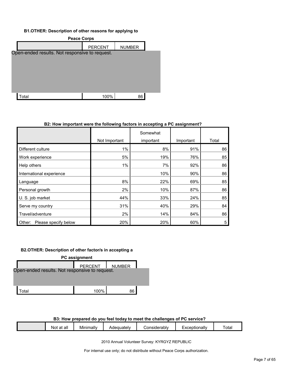#### **B1.OTHER: Description of other reasons for applying to**

| <b>Peace Corps</b>                             |                |               |  |  |  |  |
|------------------------------------------------|----------------|---------------|--|--|--|--|
|                                                | <b>PERCENT</b> | <b>NUMBER</b> |  |  |  |  |
| Open-ended results. Not responsive to request. |                |               |  |  |  |  |
|                                                |                |               |  |  |  |  |
|                                                |                |               |  |  |  |  |
|                                                |                |               |  |  |  |  |
|                                                |                |               |  |  |  |  |
|                                                |                |               |  |  |  |  |
| ⊺otal                                          | 100%           | 86            |  |  |  |  |

#### **B2: How important were the following factors in accepting a PC assignment?**

|                                |               | Somewhat  |           |       |
|--------------------------------|---------------|-----------|-----------|-------|
|                                | Not Important | important | Important | Total |
| Different culture              | 1%            | 8%        | 91%       | 86    |
| Work experience                | 5%            | 19%       | 76%       | 85    |
| Help others                    | 1%            | 7%        | 92%       | 86    |
| International experience       |               | 10%       | 90%       | 86    |
| Language                       | 8%            | 22%       | 69%       | 85    |
| Personal growth                | 2%            | 10%       | 87%       | 86    |
| U.S. job market                | 44%           | 33%       | 24%       | 85    |
| Serve my country               | 31%           | 40%       | 29%       | 84    |
| Travel/adventure               | 2%            | 14%       | 84%       | 86    |
| Please specify below<br>Other: | 20%           | 20%       | 60%       | 5     |

## **B2.OTHER: Description of other factor/s in accepting a**

| PC assignment                                  |                  |    |  |  |  |
|------------------------------------------------|------------------|----|--|--|--|
|                                                | PERCENT   NUMBER |    |  |  |  |
| Open-ended results. Not responsive to request. |                  |    |  |  |  |
|                                                |                  |    |  |  |  |
|                                                |                  |    |  |  |  |
| Гоtal                                          | 100%             | 86 |  |  |  |

## **B3: How prepared do you feel today to meet the challenges of PC service?**

| all<br>at<br>NOt | <br>Minimally | Adequately | Considerably | :xceptionallv | otal |
|------------------|---------------|------------|--------------|---------------|------|
|                  |               |            |              |               |      |

2010 Annual Volunteer Survey: KYRGYZ REPUBLIC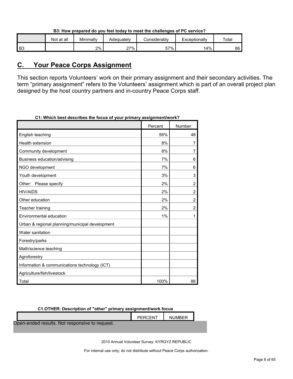| B3: How prepared do you feel today to meet the challenges of PC service? |  |  |
|--------------------------------------------------------------------------|--|--|
|                                                                          |  |  |

|    | Not at all | Minimally | Adequatelv | <i>C</i> onsiderabl∨ | Exceptionally | Total |
|----|------------|-----------|------------|----------------------|---------------|-------|
| B3 |            | 2%        | 27%        | 57%                  | 4%            | 86    |

# <span id="page-7-0"></span>**C. Your Peace Corps Assignment**

This section reports Volunteers' work on their primary assignment and their secondary activities. The term "primary assignment" refers to the Volunteers' assignment which is part of an overall project plan designed by the host country partners and in-country Peace Corps staff.

| , which best describes the locus of your primary assignment work : |         |        |
|--------------------------------------------------------------------|---------|--------|
|                                                                    | Percent | Number |
| English teaching                                                   | 56%     | 48     |
| <b>Health extension</b>                                            | 8%      | 7      |
| Community development                                              | 8%      | 7      |
| Business education/advising                                        | 7%      | 6      |
| NGO development                                                    | 7%      | 6      |
| Youth development                                                  | 3%      | 3      |
| Other: Please specify                                              | 2%      | 2      |
| <b>HIV/AIDS</b>                                                    | 2%      | 2      |
| Other education                                                    | 2%      | 2      |
| Teacher training                                                   | 2%      | 2      |
| Environmental education                                            | $1\%$   | 1      |
| Urban & regional planning/municipal development                    |         |        |
| Water sanitation                                                   |         |        |
| Forestry/parks                                                     |         |        |
| Math/science teaching                                              |         |        |
| Agroforestry                                                       |         |        |
| Information & communications technology (ICT)                      |         |        |
| Agriculture/fish/livestock                                         |         |        |
| Total                                                              | 100%    | 86     |

**C1: Which best describes the focus of your primary assignment/work?**

| C1.OTHER: Description of "other" primary assignment/work focus |                |        |  |  |  |  |
|----------------------------------------------------------------|----------------|--------|--|--|--|--|
|                                                                | <b>PERCENT</b> | NUMBER |  |  |  |  |
| Open-ended results. Not responsive to request.                 |                |        |  |  |  |  |
|                                                                |                |        |  |  |  |  |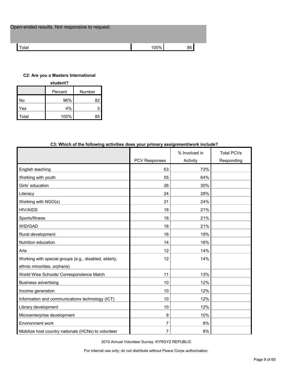| Open-ended results. Not responsive to request. |      |    |
|------------------------------------------------|------|----|
| Total                                          | 100% | 86 |

## **C2: Are you a Masters International**

| student? |         |        |  |  |  |
|----------|---------|--------|--|--|--|
|          | Percent | Number |  |  |  |
| No       | 96%     | 82     |  |  |  |
| Yes      | 4%      |        |  |  |  |
| Гоtal    | 100%    | 85     |  |  |  |

| CS. WHICH OF the following activities does your primary assignment work include a |                      |                           |                                 |
|-----------------------------------------------------------------------------------|----------------------|---------------------------|---------------------------------|
|                                                                                   | <b>PCV Responses</b> | % Involved in<br>Activity | <b>Total PCVs</b><br>Responding |
| English teaching                                                                  | 63                   | 73%                       |                                 |
| Working with youth                                                                | 55                   | 64%                       |                                 |
| Girls' education                                                                  | 26                   | 30%                       |                                 |
| Literacy                                                                          | 24                   | 28%                       |                                 |
| Working with NGO(s)                                                               | 21                   | 24%                       |                                 |
| <b>HIV/AIDS</b>                                                                   | 18                   | 21%                       |                                 |
| Sports/fitness                                                                    | 18                   | 21%                       |                                 |
| WID/GAD                                                                           | 18                   | 21%                       |                                 |
| Rural development                                                                 | 16                   | 19%                       |                                 |
| Nutrition education                                                               | 14                   | 16%                       |                                 |
| Arts                                                                              | 12                   | 14%                       |                                 |
| Working with special groups (e.g., disabled, elderly,                             | 12                   | 14%                       |                                 |
| ethnic minorities, orphans)                                                       |                      |                           |                                 |
| World Wise Schools/ Correspondence Match                                          | 11                   | 13%                       |                                 |
| <b>Business advertising</b>                                                       | 10                   | 12%                       |                                 |
| Income generation                                                                 | 10                   | 12%                       |                                 |
| Information and communications technology (ICT)                                   | 10                   | 12%                       |                                 |
| Library development                                                               | 10                   | 12%                       |                                 |
| Microenterprise development                                                       | 9                    | 10%                       |                                 |
| Environment work                                                                  | 7                    | 8%                        |                                 |
| Mobilize host country nationals (HCNs) to volunteer                               | $\overline{7}$       | 8%                        |                                 |

# **C3: Which of the following activities does your primary assignment/work include?**

2010 Annual Volunteer Survey: KYRGYZ REPUBLIC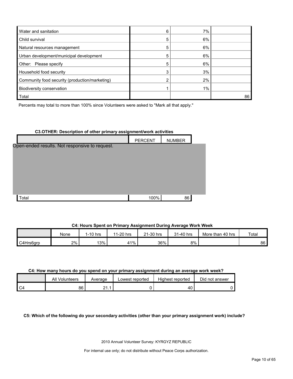| Water and sanitation                           | 6 | 7% |    |
|------------------------------------------------|---|----|----|
| Child survival                                 | 5 | 6% |    |
| Natural resources management                   | 5 | 6% |    |
| Urban development/municipal development        | 5 | 6% |    |
| Other: Please specify                          | 5 | 6% |    |
| Household food security                        |   | 3% |    |
| Community food security (production/marketing) |   | 2% |    |
| Biodiversity conservation                      |   | 1% |    |
| Total                                          |   |    | 86 |

Percents may total to more than 100% since Volunteers were asked to "Mark all that apply."

## **C3.OTHER: Description of other primary assignment/work activities**

|                                                | <b>PERCENT</b> | <b>NUMBER</b> |  |
|------------------------------------------------|----------------|---------------|--|
| Open-ended results. Not responsive to request. |                |               |  |
|                                                |                |               |  |
|                                                |                |               |  |
|                                                |                |               |  |
|                                                |                |               |  |
|                                                |                |               |  |
| Total                                          | 100%           | 86            |  |

# **C4: Hours Spent on Primary Assignment During Average Work Week**

|           | None  | $1-10$ hrs | 1-20 hrs<br>-4-4 | 21-30 hrs | 31-40 hrs | More than 40 hrs | Total |
|-----------|-------|------------|------------------|-----------|-----------|------------------|-------|
| C4Hrs6arp | $2\%$ | 13%        | 41%              | 36%       | 8%        |                  | 86    |

#### **C4: How many hours do you spend on your primary assignment during an average work week?**

|    | All<br>Volunteers | Average            | Lowest reported | Highest reported | Did not answer |
|----|-------------------|--------------------|-----------------|------------------|----------------|
| C4 | 86                | ິ<br>◢<br><u>.</u> |                 | 40.              |                |

**C5: Which of the following do your secondary activities (other than your primary assignment work) include?**

2010 Annual Volunteer Survey: KYRGYZ REPUBLIC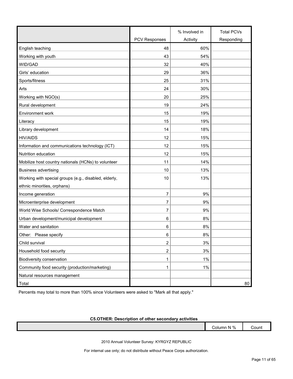|                                                       |                      | % Involved in | <b>Total PCVs</b> |
|-------------------------------------------------------|----------------------|---------------|-------------------|
|                                                       | <b>PCV Responses</b> | Activity      | Responding        |
| English teaching                                      | 48                   | 60%           |                   |
| Working with youth                                    | 43                   | 54%           |                   |
| WID/GAD                                               | 32                   | 40%           |                   |
| Girls' education                                      | 29                   | 36%           |                   |
| Sports/fitness                                        | 25                   | 31%           |                   |
| Arts                                                  | 24                   | 30%           |                   |
| Working with NGO(s)                                   | 20                   | 25%           |                   |
| Rural development                                     | 19                   | 24%           |                   |
| Environment work                                      | 15                   | 19%           |                   |
| Literacy                                              | 15                   | 19%           |                   |
| Library development                                   | 14                   | 18%           |                   |
| <b>HIV/AIDS</b>                                       | 12                   | 15%           |                   |
| Information and communications technology (ICT)       | 12                   | 15%           |                   |
| Nutrition education                                   | 12                   | 15%           |                   |
| Mobilize host country nationals (HCNs) to volunteer   | 11                   | 14%           |                   |
| <b>Business advertising</b>                           | 10                   | 13%           |                   |
| Working with special groups (e.g., disabled, elderly, | 10                   | 13%           |                   |
| ethnic minorities, orphans)                           |                      |               |                   |
| Income generation                                     | 7                    | 9%            |                   |
| Microenterprise development                           | 7                    | 9%            |                   |
| World Wise Schools/ Correspondence Match              | 7                    | 9%            |                   |
| Urban development/municipal development               | 6                    | 8%            |                   |
| Water and sanitation                                  | 6                    | 8%            |                   |
| Other: Please specify                                 | 6                    | 8%            |                   |
| Child survival                                        | $\overline{2}$       | 3%            |                   |
| Household food security                               | 2                    | 3%            |                   |
| Biodiversity conservation                             | 1                    | $1\%$         |                   |
| Community food security (production/marketing)        | 1                    | $1\%$         |                   |
| Natural resources management                          |                      |               |                   |
| Total                                                 |                      |               | 80                |

Percents may total to more than 100% since Volunteers were asked to "Mark all that apply."

# **C5.OTHER: Description of other secondary activities**

| IN %<br>-<br>.<br>Column | :oun<br>.<br>---- |
|--------------------------|-------------------|
|                          |                   |

2010 Annual Volunteer Survey: KYRGYZ REPUBLIC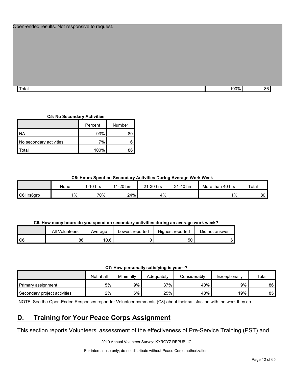#### Open-ended results. Not responsive to request.

Total 100% 86

#### **C5: No Secondary Activities**

|                         | Percent | Number |
|-------------------------|---------|--------|
| <b>NA</b>               | 93%     |        |
| No secondary activities | 7%      |        |
| otal <sup>.</sup>       | 100%    |        |

#### **C6: Hours Spent on Secondary Activities During Average Work Week**

|           | None    | 1-10 hrs | 1-20 hrs<br>11 | 21-30 hrs | 31-40 hrs | More than 40 hrs | Total |
|-----------|---------|----------|----------------|-----------|-----------|------------------|-------|
| C6Hrs6grp | $1\%$ . | 70%      | 24%            | 4%        |           | $1\%$            | 80    |

# **C6. How many hours do you spend on secondary activities during an average work week?**

|    | All Volunteers | Average | Lowest reported | Highest reported | Did not answer |
|----|----------------|---------|-----------------|------------------|----------------|
| C6 | 86             | 10.6    |                 | 50               |                |

**C7: How personally satisfying is your--?**

|                              | Not at all | Minimally | Adeauatelv | Considerablv | Exceptionally | Total |
|------------------------------|------------|-----------|------------|--------------|---------------|-------|
| Primary assignment           | 5%         | 9%        | 37%        | 40%          | 9%            | 86    |
| Secondary project activities | 2%         | 6%        | 25%        | 48%          | 19%           | 85    |

NOTE: See the Open-Ended Responses report for Volunteer comments (C8) about their satisfaction with the work they do

# <span id="page-11-0"></span>**D. Training for Your Peace Corps Assignment**

This section reports Volunteers' assessment of the effectiveness of Pre-Service Training (PST) and

2010 Annual Volunteer Survey: KYRGYZ REPUBLIC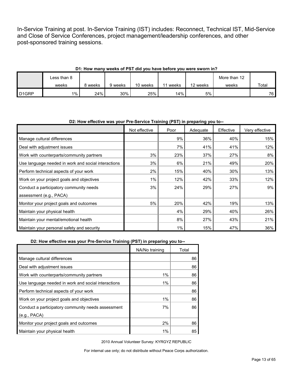In-Service Training at post. In-Service Training (IST) includes: Reconnect, Technical IST, Mid-Service and Close of Service Conferences, project management/leadership conferences, and other post-sponsored training sessions.

# **D1: How many weeks of PST did you have before you were sworn in?**

|                   | Less than 8 |         |         |          |       |          | More than 12 |       |
|-------------------|-------------|---------|---------|----------|-------|----------|--------------|-------|
|                   | weeks       | 8 weeks | 9 weeks | 10 weeks | weeks | 12 weeks | weeks        | Total |
| D <sub>1GRP</sub> | 1%          | 24%     | 30%     | 25%      | 14%   | 5%       |              | 76    |

#### **D2: How effective was your Pre-Service Training (PST) in preparing you to--**

|                                                     | Not effective | Poor | Adequate | Effective | Very effective |
|-----------------------------------------------------|---------------|------|----------|-----------|----------------|
| Manage cultural differences                         |               | 9%   | 36%      | 40%       | 15%            |
| Deal with adjustment issues                         |               | 7%   | 41%      | 41%       | 12%            |
| Work with counterparts/community partners           | 3%            | 23%  | 37%      | 27%       | 8%             |
| Use language needed in work and social interactions | 3%            | 6%   | 21%      | 49%       | 20%            |
| Perform technical aspects of your work              | 2%            | 15%  | 40%      | 30%       | 13%            |
| Work on your project goals and objectives           | 1%            | 12%  | 42%      | 33%       | 12%            |
| Conduct a participatory community needs             | 3%            | 24%  | 29%      | 27%       | 9%             |
| assessment (e.g., PACA)                             |               |      |          |           |                |
| Monitor your project goals and outcomes             | 5%            | 20%  | 42%      | 19%       | 13%            |
| Maintain your physical health                       |               | 4%   | 29%      | 40%       | 26%            |
| Maintain your mental/emotional health               |               | 8%   | 27%      | 43%       | 21%            |
| Maintain your personal safety and security          |               | 1%   | 15%      | 47%       | 36%            |

#### **D2: How effective was your Pre-Service Training (PST) in preparing you to--**

|                                                     | NA/No training | Total |
|-----------------------------------------------------|----------------|-------|
| Manage cultural differences                         |                | 86    |
| Deal with adjustment issues                         |                | 86    |
| Work with counterparts/community partners           | $1\%$          | 86    |
| Use language needed in work and social interactions | 1%             | 86    |
| Perform technical aspects of your work              |                | 86    |
| Work on your project goals and objectives           | $1\%$          | 86    |
| Conduct a participatory community needs assessment  | 7%             | 86    |
| (e.g., PACA)                                        |                |       |
| Monitor your project goals and outcomes             | 2%             | 86    |
| Maintain your physical health                       | 1%             | 85    |

2010 Annual Volunteer Survey: KYRGYZ REPUBLIC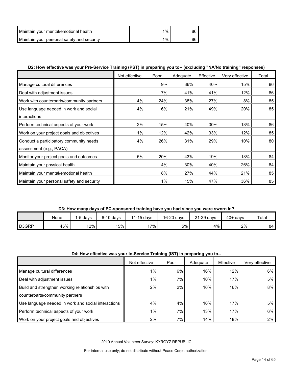| Maintain vour mental/emotional health      | $1\%$ |  |
|--------------------------------------------|-------|--|
| Maintain your personal safety and security | $1\%$ |  |

# **D2: How effective was your Pre-Service Training (PST) in preparing you to-- (excluding "NA/No training" responses)**

|                                            | Not effective | Poor  | Adequate | Effective | Very effective | Total |
|--------------------------------------------|---------------|-------|----------|-----------|----------------|-------|
| Manage cultural differences                |               | 9%    | 36%      | 40%       | 15%            | 86    |
| Deal with adjustment issues                |               | 7%    | 41%      | 41%       | 12%            | 86    |
| Work with counterparts/community partners  | 4%            | 24%   | 38%      | 27%       | 8%             | 85    |
| Use language needed in work and social     | 4%            | 6%    | 21%      | 49%       | 20%            | 85    |
| interactions                               |               |       |          |           |                |       |
| Perform technical aspects of your work     | 2%            | 15%   | 40%      | 30%       | 13%            | 86    |
| Work on your project goals and objectives  | 1%            | 12%   | 42%      | 33%       | 12%            | 85    |
| Conduct a participatory community needs    | 4%            | 26%   | 31%      | 29%       | 10%            | 80    |
| assessment (e.g., PACA)                    |               |       |          |           |                |       |
| Monitor your project goals and outcomes    | 5%            | 20%   | 43%      | 19%       | 13%            | 84    |
| Maintain your physical health              |               | 4%    | 30%      | 40%       | 26%            | 84    |
| Maintain your mental/emotional health      |               | 8%    | 27%      | 44%       | 21%            | 85    |
| Maintain your personal safety and security |               | $1\%$ | 15%      | 47%       | 36%            | 85    |

# **D3: How many days of PC-sponsored training have you had since you were sworn in?**

|                    | None | , davs | 6-10 davs | 11-15 days | 16-20 days | $21-39$ days | $40+$ davs | Total |
|--------------------|------|--------|-----------|------------|------------|--------------|------------|-------|
| D <sub>3</sub> GRP | 45%  | 12%    | 15%       | $17\%$     | 5%         | 4%           | 2%         | 84    |

#### **D4: How effective was your In-Service Training (IST) in preparing you to--**

|                                                     | Not effective | Poor | Adequate | Effective | Verv effective |
|-----------------------------------------------------|---------------|------|----------|-----------|----------------|
| Manage cultural differences                         | 1%            | 6%   | 16%      | 12%       | 6%             |
| Deal with adjustment issues                         | $1\%$         | 7%   | 10%      | 17%       | 5%             |
| Build and strengthen working relationships with     | 2%            | 2%   | 16%      | 16%       | 8%             |
| counterparts/community partners                     |               |      |          |           |                |
| Use language needed in work and social interactions | 4%            | 4%   | 16%      | 17%       | 5%             |
| Perform technical aspects of your work              | $1\%$         | 7%   | 13%      | 17%       | 6%             |
| Work on your project goals and objectives           | 2%            | 7%   | 14%      | 18%       | 2%             |

2010 Annual Volunteer Survey: KYRGYZ REPUBLIC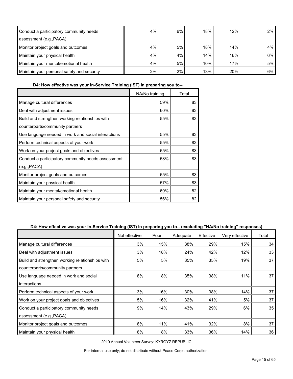| Conduct a participatory community needs    | 4%    | 6%    | 18% | 12% | $2\%$ |
|--------------------------------------------|-------|-------|-----|-----|-------|
| assessment (e.g., PACA)                    |       |       |     |     |       |
| Monitor project goals and outcomes         | 4%    | 5%    | 18% | 14% | 4%    |
| Maintain your physical health              | 4%    | 4%    | 14% | 16% | $6\%$ |
| Maintain your mental/emotional health      | 4%    | 5%    | 10% | 17% | 5%    |
| Maintain your personal safety and security | $2\%$ | $2\%$ | 13% | 20% | $6\%$ |

**D4: How effective was your In-Service Training (IST) in preparing you to--**

|                                                     | NA/No training | Total |
|-----------------------------------------------------|----------------|-------|
| Manage cultural differences                         | 59%            | 83    |
| Deal with adjustment issues                         | 60%            | 83    |
| Build and strengthen working relationships with     | 55%            | 83    |
| counterparts/community partners                     |                |       |
| Use language needed in work and social interactions | 55%            | 83    |
| Perform technical aspects of your work              | 55%            | 83    |
| Work on your project goals and objectives           | 55%            | 83    |
| Conduct a participatory community needs assessment  | 58%            | 83    |
| (e.g., PACA)                                        |                |       |
| Monitor project goals and outcomes                  | 55%            | 83    |
| Maintain your physical health                       | 57%            | 83    |
| Maintain your mental/emotional health               | 60%            | 82    |
| Maintain your personal safety and security          | 56%            | 82    |

# **D4: How effective was your In-Service Training (IST) in preparing you to-- (excluding "NA/No training" responses)**

|                                                 | Not effective | Poor | Adequate | Effective | Very effective | Total |
|-------------------------------------------------|---------------|------|----------|-----------|----------------|-------|
| Manage cultural differences                     | 3%            | 15%  | 38%      | 29%       | 15%            | 34    |
| Deal with adjustment issues                     | 3%            | 18%  | 24%      | 42%       | 12%            | 33    |
| Build and strengthen working relationships with | 5%            | 5%   | 35%      | 35%       | 19%            | 37    |
| counterparts/community partners                 |               |      |          |           |                |       |
| Use language needed in work and social          | 8%            | 8%   | 35%      | 38%       | 11%            | 37    |
| interactions                                    |               |      |          |           |                |       |
| Perform technical aspects of your work          | 3%            | 16%  | 30%      | 38%       | 14%            | 37    |
| Work on your project goals and objectives       | 5%            | 16%  | 32%      | 41%       | 5%             | 37    |
| Conduct a participatory community needs         | 9%            | 14%  | 43%      | 29%       | 6%             | 35    |
| assessment (e.g., PACA)                         |               |      |          |           |                |       |
| Monitor project goals and outcomes              | 8%            | 11%  | 41%      | 32%       | 8%             | 37    |
| Maintain your physical health                   | 8%            | 8%   | 33%      | 36%       | 14%            | 36    |

2010 Annual Volunteer Survey: KYRGYZ REPUBLIC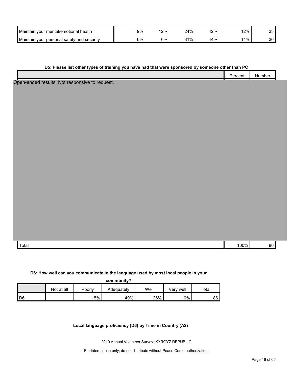| <b>Maintain</b><br>health<br>, your mental/emotional '    | 9% | 12% | 24% | 12%              | 12% | ົ<br>ັບ |
|-----------------------------------------------------------|----|-----|-----|------------------|-----|---------|
| Maintain<br>⊧securitv<br>satety and<br>· personal<br>vour | 6% | 6%  | 31% | $44^{0/7}$<br>7٥ | 14% | 36      |

#### **D5: Please list other types of training you have had that were sponsored by someone other than PC**

|    | .<br>nn.<br>$\sim$ | .<br>- -<br>Numbe. |  |
|----|--------------------|--------------------|--|
| __ |                    |                    |  |

Open-ended results. Not responsive to request.

Total 100% 86

#### **D6: How well can you communicate in the language used by most local people in your**

|    |            |        | community? |      |           |       |
|----|------------|--------|------------|------|-----------|-------|
|    | Not at all | Poorly | Adequately | Well | Verv well | Total |
| D6 |            | 15%    | 49%        | 26%  | 10%       | 86    |

#### **Local language proficiency (D6) by Time in Country (A2)**

2010 Annual Volunteer Survey: KYRGYZ REPUBLIC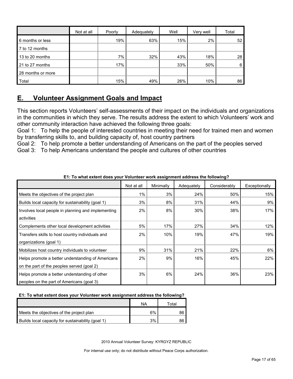|                   | Not at all | Poorly | Adequately | Well | Very well | Total |
|-------------------|------------|--------|------------|------|-----------|-------|
| 6 months or less  |            | 19%    | 63%        | 15%  | 2%        | 52    |
| 7 to 12 months    |            |        |            |      |           |       |
| 13 to 20 months   |            | 7%     | 32%        | 43%  | 18%       | 28    |
| 21 to 27 months   |            | 17%    |            | 33%  | 50%       | 6     |
| 28 months or more |            |        |            |      |           |       |
| Total             |            | 15%    | 49%        | 26%  | 10%       | 86    |

# <span id="page-16-0"></span>**E. Volunteer Assignment Goals and Impact**

This section reports Volunteers' self-assessments of their impact on the individuals and organizations in the communities in which they serve. The results address the extent to which Volunteers' work and other community interaction have achieved the following three goals:

Goal 1: To help the people of interested countries in meeting their need for trained men and women by transferring skills to, and building capacity of, host country partners

Goal 2: To help promote a better understanding of Americans on the part of the peoples served Goal 3: To help Americans understand the people and cultures of other countries

|                                                    | Not at all | Minimally | Adequately | Considerably | Exceptionally |
|----------------------------------------------------|------------|-----------|------------|--------------|---------------|
| Meets the objectives of the project plan           | 1%         | 3%        | 24%        | 50%          | 15%           |
| Builds local capacity for sustainability (goal 1)  | 3%         | 8%        | 31%        | 44%          | 9%            |
| Involves local people in planning and implementing | 2%         | 8%        | 30%        | 38%          | 17%           |
| activities                                         |            |           |            |              |               |
| Complements other local development activities     | 5%         | 17%       | 27%        | 34%          | 12%           |
| Transfers skills to host country individuals and   | 2%         | 10%       | 19%        | 47%          | 19%           |
| organizations (goal 1)                             |            |           |            |              |               |
| Mobilizes host country individuals to volunteer    | 9%         | 31%       | 21%        | 22%          | 6%            |
| Helps promote a better understanding of Americans  | 2%         | 9%        | 16%        | 45%          | 22%           |
| on the part of the peoples served (goal 2)         |            |           |            |              |               |
| Helps promote a better understanding of other      | 3%         | 6%        | 24%        | 36%          | 23%           |
| peoples on the part of Americans (goal 3)          |            |           |            |              |               |

**E1: To what extent does your Volunteer work assignment address the following?**

# **E1: To what extent does your Volunteer work assignment address the following?**

|                                                   | NA | ™otal |
|---------------------------------------------------|----|-------|
| Meets the objectives of the project plan          | 6% |       |
| Builds local capacity for sustainability (goal 1) | 3% |       |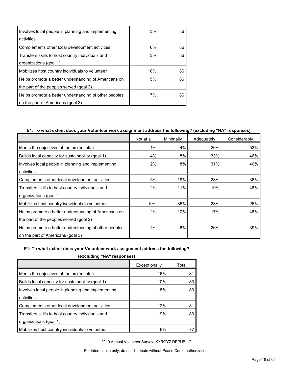| Involves local people in planning and implementing    | 3%  | 86 |
|-------------------------------------------------------|-----|----|
| activities                                            |     |    |
| Complements other local development activities        | 6%  | 86 |
| Transfers skills to host country individuals and      | 3%  | 86 |
| organizations (goal 1)                                |     |    |
| Mobilizes host country individuals to volunteer       | 10% | 86 |
| Helps promote a better understanding of Americans on  | 5%  | 86 |
| the part of the peoples served (goal 2)               |     |    |
| Helps promote a better understanding of other peoples | 7%  | 86 |
| on the part of Americans (goal 3)                     |     |    |

# **E1: To what extent does your Volunteer work assignment address the following? (excluding "NA" responses)**

|                                                       | Not at all | Minimally | Adequately | Considerably |
|-------------------------------------------------------|------------|-----------|------------|--------------|
| Meets the objectives of the project plan              | 1%         | 4%        | 26%        | 53%          |
| Builds local capacity for sustainability (goal 1)     | 4%         | 8%        | 33%        | 46%          |
| Involves local people in planning and implementing    | 2%         | 8%        | 31%        | 40%          |
| activities                                            |            |           |            |              |
| Complements other local development activities        | 5%         | 19%       | 28%        | 36%          |
| Transfers skills to host country individuals and      | 2%         | 11%       | 19%        | 48%          |
| organizations (goal 1)                                |            |           |            |              |
| Mobilizes host country individuals to volunteer       | 10%        | 35%       | 23%        | 25%          |
| Helps promote a better understanding of Americans on  | 2%         | 10%       | 17%        | 48%          |
| the part of the peoples served (goal 2)               |            |           |            |              |
| Helps promote a better understanding of other peoples | 4%         | 6%        | 26%        | 39%          |
| on the part of Americans (goal 3)                     |            |           |            |              |

#### **E1: To what extent does your Volunteer work assignment address the following?**

**(excluding "NA" responses)**

| Exceptionally | Total |  |  |  |  |
|---------------|-------|--|--|--|--|
| 16%           | 81    |  |  |  |  |
| 10%           | 83    |  |  |  |  |
| 18%           | 83    |  |  |  |  |
|               |       |  |  |  |  |
| 12%           | 81    |  |  |  |  |
| 19%           | 83    |  |  |  |  |
|               |       |  |  |  |  |
| 6%            |       |  |  |  |  |
|               |       |  |  |  |  |

2010 Annual Volunteer Survey: KYRGYZ REPUBLIC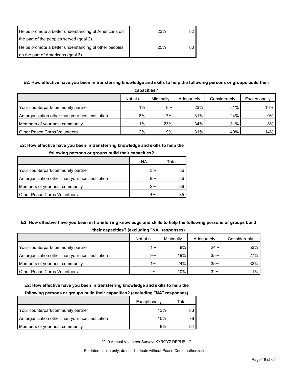| Helps promote a better understanding of Americans on  | 23% | 82 |
|-------------------------------------------------------|-----|----|
| the part of the peoples served (goal 2)               |     |    |
| Helps promote a better understanding of other peoples | 25% | 80 |
| on the part of Americans (goal 3)                     |     |    |

# **E2: How effective have you been in transferring knowledge and skills to help the following persons or groups build their**

| capacities?                                      |            |           |            |              |               |  |  |
|--------------------------------------------------|------------|-----------|------------|--------------|---------------|--|--|
|                                                  | Not at all | Minimally | Adequately | Considerably | Exceptionally |  |  |
| Your counterpart/community partner               | $1\%$      | 8%        | 23%        | 51%          | 13%           |  |  |
| An organization other than your host institution | 8%         | 17%       | 31%        | 24%          | 9%            |  |  |
| Members of your host community                   | $1\%$      | 23%       | 34%        | 31%          | 8%            |  |  |
| <b>Other Peace Corps Volunteers</b>              | 2%         | 9%        | 31%        | 40%          | 14%           |  |  |

## **E2: How effective have you been in transferring knowledge and skills to help the**

| <b>TOROWING DETSURE OF GLOUPS DUNG THEIR CAPACITIES I</b> |    |       |  |  |  |
|-----------------------------------------------------------|----|-------|--|--|--|
|                                                           | ΝA | Total |  |  |  |
| Your counterpart/community partner                        | 3% | 86    |  |  |  |
| An organization other than your host institution          | 9% | 86    |  |  |  |
| Members of your host community                            | 2% | 86    |  |  |  |
| <b>Other Peace Corps Volunteers</b>                       | 4% | 85    |  |  |  |

# **following persons or groups build their capacities?**

# **E2: How effective have you been in transferring knowledge and skills to help the following persons or groups build their capacities? (excluding "NA" responses)**

|                                                  | Not at all | Minimally | Adequately | Considerably |  |  |
|--------------------------------------------------|------------|-----------|------------|--------------|--|--|
| Your counterpart/community partner               | $1\%$      | 8%        | 24%        | 53%          |  |  |
| An organization other than your host institution | 9%         | 19%       | 35%        | 27%          |  |  |
| Members of your host community                   | $1\%$      | 24%       | 35%        | $32\%$       |  |  |
| <b>Other Peace Corps Volunteers</b>              | $2\%$      | 10%       | 32%        | 41%          |  |  |

#### **E2: How effective have you been in transferring knowledge and skills to help the**

#### **following persons or groups build their capacities? (excluding "NA" responses)**

|                                                  | Exceptionally | Total |
|--------------------------------------------------|---------------|-------|
| Your counterpart/community partner               | 13%           |       |
| An organization other than your host institution | 10%           |       |
| Members of your host community                   | 8%            | 84    |

2010 Annual Volunteer Survey: KYRGYZ REPUBLIC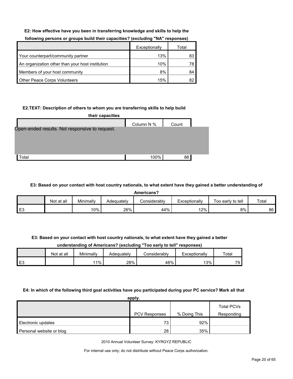#### **E2: How effective have you been in transferring knowledge and skills to help the**

|                                                  | Exceptionally | Total |
|--------------------------------------------------|---------------|-------|
| Your counterpart/community partner               | 13%           | 83    |
| An organization other than your host institution | 10%           | 78    |
| Members of your host community                   | 8%            | 84    |
| <b>Other Peace Corps Volunteers</b>              | 15%           | 82    |

## **following persons or groups build their capacities? (excluding "NA" responses)**

#### **E2.TEXT: Description of others to whom you are transferring skills to help build**

| their capacities                               |            |       |  |  |  |  |  |
|------------------------------------------------|------------|-------|--|--|--|--|--|
|                                                | Column N % | Count |  |  |  |  |  |
| Open-ended results. Not responsive to request. |            |       |  |  |  |  |  |
|                                                |            |       |  |  |  |  |  |
|                                                |            |       |  |  |  |  |  |
|                                                |            |       |  |  |  |  |  |
| otal <sup>.</sup>                              | 100%       | 86    |  |  |  |  |  |
|                                                |            |       |  |  |  |  |  |

#### **E3: Based on your contact with host country nationals, to what extent have they gained a better understanding of**

**Americans?**

|                       | at all<br>Not | Minimally | Adequatelv | こonsiderablv | Exceptionally | Too early to tell | Total |
|-----------------------|---------------|-----------|------------|--------------|---------------|-------------------|-------|
| $\Gamma$<br>. .<br>∟ບ |               | 10%       | 26%        | 44%          | 12%           | $8\%$             | 86    |

#### **E3: Based on your contact with host country nationals, to what extent have they gained a better**

# **understanding of Americans? (excluding "Too early to tell" responses)**

|    | Not at all | Minimally | Adeauatelv | Considerabl∨ | Exceptionally | Total |
|----|------------|-----------|------------|--------------|---------------|-------|
| E3 |            | 11%       | 28%        | 48%          | 13%           | 79.   |

#### **E4: In which of the following third goal activities have you participated during your PC service? Mark all that**

| apply.                   |               |              |                   |  |  |  |
|--------------------------|---------------|--------------|-------------------|--|--|--|
|                          |               |              | <b>Total PCVs</b> |  |  |  |
|                          | PCV Responses | % Doing This | Responding        |  |  |  |
| Electronic updates       | 73            | 92%          |                   |  |  |  |
| Personal website or blog | 28            | 35%          |                   |  |  |  |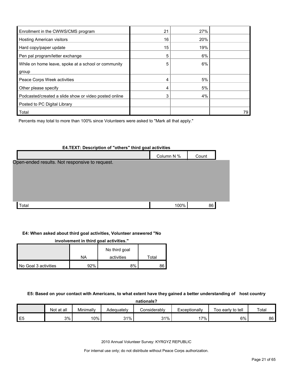| Enrollment in the CWWS/CMS program                    | 21 | 27% |    |
|-------------------------------------------------------|----|-----|----|
| <b>Hosting American visitors</b>                      | 16 | 20% |    |
| Hard copy/paper update                                | 15 | 19% |    |
| Pen pal program/letter exchange                       | 5  | 6%  |    |
| While on home leave, spoke at a school or community   | 5  | 6%  |    |
| group                                                 |    |     |    |
| Peace Corps Week activities                           | 4  | 5%  |    |
| Other please specify                                  | 4  | 5%  |    |
| Podcasted/created a slide show or video posted online | 3  | 4%  |    |
| Posted to PC Digital Library                          |    |     |    |
| Total                                                 |    |     | 79 |

Percents may total to more than 100% since Volunteers were asked to "Mark all that apply."

# **E4.TEXT: Description of "others" third goal activities** Column N % Count  $\lceil \text{Total} \rceil = \lceil \text{Total} \rceil = \lceil \text{Total} \rceil = \lceil \text{Total} \rceil = \lceil \text{Total} \rceil = \lceil \text{Total} \rceil = \lceil \text{Total} \rceil = \lceil \text{Total} \rceil = \lceil \text{Total} \rceil = \lceil \text{Total} \rceil = \lceil \text{Total} \rceil = \lceil \text{Total} \rceil = \lceil \text{Total} \rceil = \lceil \text{Total} \rceil = \lceil \text{Total} \rceil = \lceil \text{Total} \rceil = \lceil \text{Total} \rceil = \lceil \text{Total} \rceil = \lceil \$ Open-ended results. Not responsive to request.

#### **E4: When asked about third goal activities, Volunteer answered "No**

| involvement in third goal activities." |     |               |       |  |  |  |  |  |  |
|----------------------------------------|-----|---------------|-------|--|--|--|--|--|--|
|                                        |     | No third goal |       |  |  |  |  |  |  |
|                                        | NA  | activities    | Total |  |  |  |  |  |  |
| No Goal 3 activities                   | 92% | 8%            | 36    |  |  |  |  |  |  |

## **E5: Based on your contact with Americans, to what extent have they gained a better understanding of host country**

| nationals? |  |
|------------|--|
|            |  |
|            |  |

|          | Not at all | Minimally | Adequately | Considerably | Exceptionally | tell<br>l oo early to | Total |
|----------|------------|-----------|------------|--------------|---------------|-----------------------|-------|
| 巨石<br>∟∪ | 3%         | 10%       | $31\%$     | 31%<br>ັບເ   | $7\%$         | 6%                    | 86    |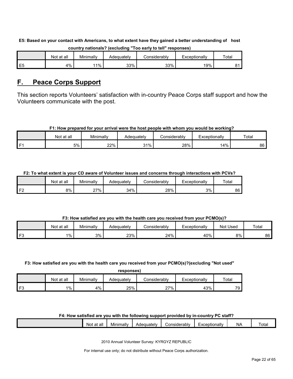**E5: Based on your contact with Americans, to what extent have they gained a better understanding of host country nationals? (excluding "Too early to tell" responses)**

|                | Not at all | Minimally | Adeɑuatelv | ≿onsiderablv | Exceptionally | Totar |
|----------------|------------|-----------|------------|--------------|---------------|-------|
| E <sub>5</sub> | 4%         | $1\%$     | 33%        | 33%          | 19%           |       |

# <span id="page-21-0"></span>**F. Peace Corps Support**

This section reports Volunteers' satisfaction with in-country Peace Corps staff support and how the Volunteers communicate with the post.

# **F1: How prepared for your arrival were the host people with whom you would be working?**

|     | at all<br>Not | $\cdot$ .<br>.<br>Minimally | Adequatelv | Considerably | Exceptionally | Total |
|-----|---------------|-----------------------------|------------|--------------|---------------|-------|
| ۰ ت | 5%            | 22%                         | 31%        | 28%          | 14%           | 86    |

**F2: To what extent is your CD aware of Volunteer issues and concerns through interactions with PCVs?**

|     | Not at all | Minimally | Adequatelv | <b>Considerably</b> | Exceptionally | Total |
|-----|------------|-----------|------------|---------------------|---------------|-------|
| r c | 8%         | 27%       | 34%        | 28%                 | 3%            | 86    |

# **F3: How satisfied are you with the health care you received from your PCMO(s)?**

|            | at all<br>Not | Minimally | Adeɑuatelv | Considerably | Exceptionally | Not U<br>∶Used | Total |
|------------|---------------|-----------|------------|--------------|---------------|----------------|-------|
| FЗ<br>- 11 | $1\%$         | 3%        | 23%        | 24%          | 40%           | 8%             | 86    |

# **F3: How satisfied are you with the health care you received from your PCMO(s)?(excluding "Not used"**

|    | responses) |           |            |                |               |                 |  |  |  |  |  |
|----|------------|-----------|------------|----------------|---------------|-----------------|--|--|--|--|--|
|    | Not at all | Minimally | Adequately | ا Considerably | Exceptionally | Total           |  |  |  |  |  |
| 旧り | $1\%$      | 4%        | 25%        | 27%            | 43%           | 79 <sub>1</sub> |  |  |  |  |  |

# **F4: How satisfied are you with the following support provided by in-country PC staff?**

| <br>all<br>NΩ<br>a, | nimally<br>. .<br>Mır | بالماحينيه<br>,aer<br>-<br>ак | :onsiderablv | xceptionally | N, | otal |
|---------------------|-----------------------|-------------------------------|--------------|--------------|----|------|
|                     |                       |                               |              |              |    |      |
|                     |                       |                               |              |              |    |      |

2010 Annual Volunteer Survey: KYRGYZ REPUBLIC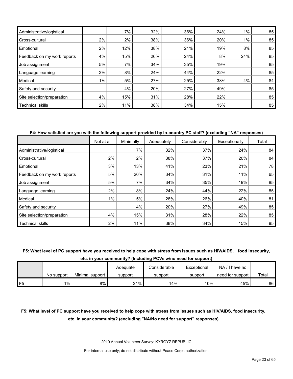| Administrative/logistical   |    | 7%  | 32% | 36% | 24% | $1\%$ | 85 |
|-----------------------------|----|-----|-----|-----|-----|-------|----|
| Cross-cultural              | 2% | 2%  | 38% | 36% | 20% | 1%    | 85 |
| Emotional                   | 2% | 12% | 38% | 21% | 19% | 8%    | 85 |
| Feedback on my work reports | 4% | 15% | 26% | 24% | 8%  | 24%   | 85 |
| Job assignment              | 5% | 7%  | 34% | 35% | 19% |       | 85 |
| Language learning           | 2% | 8%  | 24% | 44% | 22% |       | 85 |
| Medical                     | 1% | 5%  | 27% | 25% | 38% | 4%    | 84 |
| Safety and security         |    | 4%  | 20% | 27% | 49% |       | 85 |
| Site selection/preparation  | 4% | 15% | 31% | 28% | 22% |       | 85 |
| <b>Technical skills</b>     | 2% | 11% | 38% | 34% | 15% |       | 85 |

## **F4: How satisfied are you with the following support provided by in-country PC staff? (excluding "NA" responses)**

|                             | Not at all | Minimally | Adequately | Considerably | Exceptionally | Total |
|-----------------------------|------------|-----------|------------|--------------|---------------|-------|
| Administrative/logistical   |            | 7%        | 32%        | 37%          | 24%           | 84    |
| Cross-cultural              | 2%         | 2%        | 38%        | 37%          | 20%           | 84    |
| Emotional                   | 3%         | 13%       | 41%        | 23%          | 21%           | 78    |
| Feedback on my work reports | 5%         | 20%       | 34%        | 31%          | 11%           | 65    |
| Job assignment              | 5%         | 7%        | 34%        | 35%          | 19%           | 85    |
| Language learning           | 2%         | 8%        | 24%        | 44%          | 22%           | 85    |
| Medical                     | 1%         | 5%        | 28%        | 26%          | 40%           | 81    |
| Safety and security         |            | 4%        | 20%        | 27%          | 49%           | 85    |
| Site selection/preparation  | 4%         | 15%       | 31%        | 28%          | 22%           | 85    |
| <b>Technical skills</b>     | 2%         | 11%       | 38%        | 34%          | 15%           | 85    |

# **F5: What level of PC support have you received to help cope with stress from issues such as HIV/AIDS, food insecurity,**

**etc. in your community? (Including PCVs w/no need for support)**

|    |            |                 | Adequate | Considerable | Exceptional | NA/<br>I have no |       |
|----|------------|-----------------|----------|--------------|-------------|------------------|-------|
|    | No support | Minimal support | support  | support      | support     | need for support | Total |
| F5 | 1%         | 8%              | 21%      | $14\%$       | 10% i       | 45%              | 86 I  |

# **F5: What level of PC support have you received to help cope with stress from issues such as HIV/AIDS, food insecurity, etc. in your community? (excluding "NA/No need for support" responses)**

2010 Annual Volunteer Survey: KYRGYZ REPUBLIC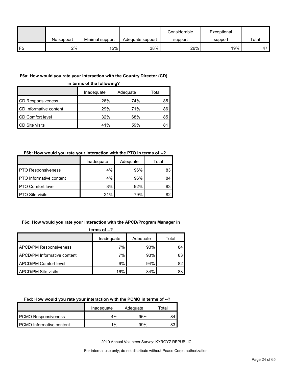|               |            |                 |                  | Considerable | Exceptional |       |
|---------------|------------|-----------------|------------------|--------------|-------------|-------|
|               | No support | Minimal support | Adequate support | support      | support     | Total |
| $\mathsf{F}5$ | 2%         | 15%             | 38%              | 26%          | 19%         | 47    |

#### **F6a: How would you rate your interaction with the Country Director (CD)**

**in terms of the following?**

|                          | Inadequate | Adequate | Total |
|--------------------------|------------|----------|-------|
| <b>CD Responsiveness</b> | 26%        | 74%      | 85    |
| CD Informative content   | 29%        | 71%      | 86    |
| CD Comfort level         | 32%        | 68%      | 85    |
| CD Site visits           | 41%        | 59%      | 81    |

#### **F6b: How would you rate your interaction with the PTO in terms of --?**

|                                | Inadeguate | Adequate | Total |
|--------------------------------|------------|----------|-------|
| <b>PTO Responsiveness</b>      | 4%         | 96%      | 83    |
| <b>PTO</b> Informative content | 4%         | 96%      | 84    |
| <b>PTO Comfort level</b>       | 8%         | 92%      | 83    |
| <b>PTO Site visits</b>         | 21%        | 79%      | 82    |

# **F6c: How would you rate your interaction with the APCD/Program Manager in**

| terms of $-2$                 |            |          |       |  |
|-------------------------------|------------|----------|-------|--|
|                               | Inadequate | Adequate | Total |  |
| <b>APCD/PM Responsiveness</b> | 7%         | 93%      | 84    |  |
| APCD/PM Informative content   | 7%         | 93%      | 83    |  |
| APCD/PM Comfort level         | 6%         | 94%      | 82    |  |
| APCD/PM Site visits           | 16%        | 84%      | 83    |  |

## **F6d: How would you rate your interaction with the PCMO in terms of --?**

|                            | Inadeguate | Adequate | ⊤otal |
|----------------------------|------------|----------|-------|
| <b>PCMO Responsiveness</b> | 4%         | 96%      | 84    |
| PCMO Informative content   | 1%         | 99%      |       |

2010 Annual Volunteer Survey: KYRGYZ REPUBLIC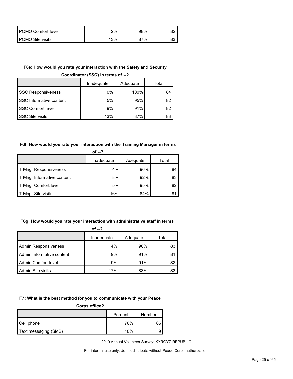| PCMO Comfort level      | 2%  | 98%        |  |
|-------------------------|-----|------------|--|
| <b>PCMO Site visits</b> | 13% | <b>97%</b> |  |

### **F6e: How would you rate your interaction with the Safety and Security**

**Coordinator (SSC) in terms of --?**

|                           | Inadequate | Adequate | Total |
|---------------------------|------------|----------|-------|
| <b>SSC Responsiveness</b> | 0%         | 100%     | 84    |
| SSC Informative content   | 5%         | 95%      | 82    |
| <b>SSC Comfort level</b>  | 9%         | 91%      | 82    |
| <b>SSC Site visits</b>    | 13%        | 87%      |       |

# **F6f: How would you rate your interaction with the Training Manager in terms**

| of --?                       |            |          |       |  |
|------------------------------|------------|----------|-------|--|
|                              | Inadequate | Adequate | Total |  |
| <b>TrMngr Responsiveness</b> | 4%         | 96%      | 84    |  |
| TrMngr Informative content   | 8%         | 92%      | 83    |  |
| <b>TrMngr Comfort level</b>  | 5%         | 95%      | 82    |  |
| TrMngr Site visits           | 16%        | 84%      |       |  |

#### **F6g: How would you rate your interaction with administrative staff in terms**

| of $-2$                     |            |          |       |  |
|-----------------------------|------------|----------|-------|--|
|                             | Inadequate | Adequate | Total |  |
| <b>Admin Responsiveness</b> | 4%         | 96%      | 83    |  |
| Admin Informative content   | 9%         | 91%      | 81    |  |
| Admin Comfort level         | 9%         | 91%      | 82    |  |
| Admin Site visits           | 17%        | 83%      | 83    |  |

#### **F7: What is the best method for you to communicate with your Peace**

| Corps office?        |         |        |
|----------------------|---------|--------|
|                      | Percent | Number |
| Cell phone           | 76%     | 65     |
| Text messaging (SMS) | 10%     |        |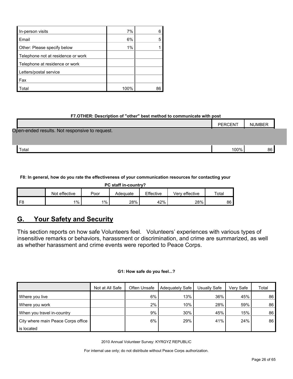| In-person visits                   | 7%   |  |
|------------------------------------|------|--|
| Email                              | 6%   |  |
| Other: Please specify below        | 1%   |  |
| Telephone not at residence or work |      |  |
| Telephone at residence or work     |      |  |
| Letters/postal service             |      |  |
| Fax                                |      |  |
| Total                              | 100% |  |

# **F7.OTHER: Description of "other" best method to communicate with post**

|                                                | <b>PERCENT</b> | <b>NUMBER</b> |  |
|------------------------------------------------|----------------|---------------|--|
| Open-ended results. Not responsive to request. |                |               |  |
|                                                |                |               |  |
| Total                                          | 100%           | 86            |  |

**F8: In general, how do you rate the effectiveness of your communication resources for contacting your** 

| PC staff in-country? |                                                                           |         |     |     |     |    |  |  |  |  |  |
|----------------------|---------------------------------------------------------------------------|---------|-----|-----|-----|----|--|--|--|--|--|
|                      | Effective<br>Not effective<br>Verv effective<br>Total<br>Poor<br>Adequate |         |     |     |     |    |  |  |  |  |  |
| FЯ                   | $1\%$                                                                     | $1\%$ , | 28% | 42% | 28% | 86 |  |  |  |  |  |

# <span id="page-25-0"></span>**G. Your Safety and Security**

This section reports on how safe Volunteers feel. Volunteers' experiences with various types of insensitive remarks or behaviors, harassment or discrimination, and crime are summarized, as well as whether harassment and crime events were reported to Peace Corps.

# **G1: How safe do you feel...?**

|                                    | Not at All Safe | Often Unsafe | Adequately Safe | Usually Safe | Verv Safe | Total |
|------------------------------------|-----------------|--------------|-----------------|--------------|-----------|-------|
| Where you live                     |                 | 6%           | 13%             | 36%          | 45%       | 86    |
| Where you work                     |                 | 2%           | 10%             | 28%          | 59%       | 86    |
| When you travel in-country         |                 | 9%           | 30%             | 45%          | 15%       | 86    |
| City where main Peace Corps office |                 | 6%           | 29%             | 41%          | 24%       | 86    |
| is located                         |                 |              |                 |              |           |       |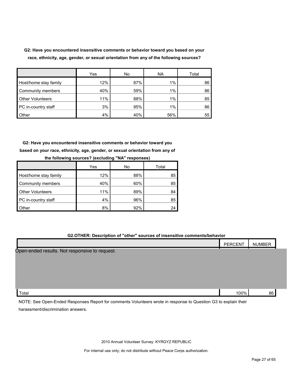**G2: Have you encountered insensitive comments or behavior toward you based on your race, ethnicity, age, gender, or sexual orientation from any of the following sources?**

|                         | Yes | No  | <b>NA</b> | Total |
|-------------------------|-----|-----|-----------|-------|
| Host/home stay family   | 12% | 87% | 1%        | 86    |
| Community members       | 40% | 59% | 1%        | 86    |
| <b>Other Volunteers</b> | 11% | 88% | 1%        | 85    |
| PC in-country staff     | 3%  | 95% | 1%        | 86    |
| <b>Other</b>            | 4%  | 40% | 56%       | 55    |

**G2: Have you encountered insensitive comments or behavior toward you based on your race, ethnicity, age, gender, or sexual orientation from any of the following sources? (excluding "NA" responses)**

|                         | Yes | No  | Total |
|-------------------------|-----|-----|-------|
| Host/home stay family   | 12% | 88% | 85    |
| Community members       | 40% | 60% | 85    |
| <b>Other Volunteers</b> | 11% | 89% | 84    |
| PC in-country staff     | 4%  | 96% | 85    |
| Other                   | 8%  | 92% | 24    |

## **G2.OTHER: Description of "other" sources of insensitive comments/behavior**

|                                                     | <b>PERCENT</b> | <b>NUMBER</b> |
|-----------------------------------------------------|----------------|---------------|
| Open-ended results.<br>. Not responsive to request. |                |               |

| . ד<br>™ota⊩ | 100% | 86 |
|--------------|------|----|
|              |      |    |

NOTE: See Open-Ended Responses Report for comments Volunteers wrote in response to Question G3 to explain their harassment/discrimination answers.

2010 Annual Volunteer Survey: KYRGYZ REPUBLIC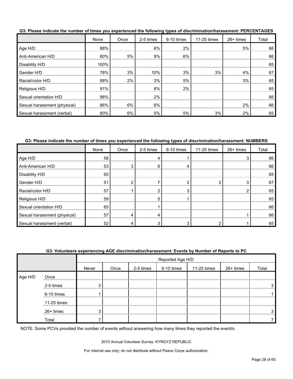|                              | None | Once | 2-5 times | 6-10 times | 11-25 times | 26+ times | Total |
|------------------------------|------|------|-----------|------------|-------------|-----------|-------|
| Age H/D                      | 88%  |      | 6%        | 2%         |             | 5%        | 66    |
| Anti-American H/D            | 80%  | 5%   | 9%        | 6%         |             |           | 66    |
| Disability H/D               | 100% |      |           |            |             |           | 65    |
| Gender H/D                   | 76%  | 3%   | 10%       | 3%         | 3%          | 4%        | 67    |
| Racial/color H/D             | 88%  | 2%   | 3%        | 5%         |             | 3%        | 65    |
| Religious H/D                | 91%  |      | 8%        | 2%         |             |           | 65    |
| Sexual orientation H/D       | 98%  |      | 2%        |            |             |           | 66    |
| Sexual harassment (physical) | 86%  | 6%   | 6%        |            |             | 2%        | 66    |
| Sexual harassment (verbal)   | 80%  | 6%   | 5%        | 5%         | 3%          | 2%        | 65    |

**G3: Please indicate the number of times you experienced the following types of discrimination/harassment: PERCENTAGES**

#### **G3: Please indicate the number of times you experienced the following types of discrimination/harassment: NUMBERS**

|                              | None | Once | 2-5 times | 6-10 times | 11-25 times | 26+ times | Total |
|------------------------------|------|------|-----------|------------|-------------|-----------|-------|
| Age H/D                      | 58   |      |           |            |             | 3         | 66    |
| Anti-American H/D            | 53   |      | n         |            |             |           | 66    |
| Disability H/D               | 65   |      |           |            |             |           | 65    |
| Gender H/D                   | 51   |      |           |            |             | 3         | 67    |
| Racial/color H/D             | 57   |      |           | 3          |             | ◠         | 65    |
| Religious H/D                | 59   |      | 5         |            |             |           | 65    |
| Sexual orientation H/D       | 65   |      |           |            |             |           | 66    |
| Sexual harassment (physical) | 57   |      |           |            |             |           | 66    |
| Sexual harassment (verbal)   | 52   |      |           |            |             |           | 65    |

#### **G3: Volunteers experiencing AGE discrimination/harassment: Events by Number of Reports to PC**

|         |             |                | Reported Age H/D |           |            |             |           |       |  |  |
|---------|-------------|----------------|------------------|-----------|------------|-------------|-----------|-------|--|--|
|         |             | Never          | Once             | 2-5 times | 6-10 times | 11-25 times | 26+ times | Total |  |  |
| Age H/D | Once        |                |                  |           |            |             |           |       |  |  |
|         | 2-5 times   | 3              |                  |           |            |             |           | 3     |  |  |
|         | 6-10 times  |                |                  |           |            |             |           |       |  |  |
|         | 11-25 times |                |                  |           |            |             |           |       |  |  |
|         | 26+ times   | 3 <sup>1</sup> |                  |           |            |             |           | 3     |  |  |
|         | Total       |                |                  |           |            |             |           |       |  |  |

NOTE: Some PCVs provided the number of events without answering how many times they reported the event/s.

2010 Annual Volunteer Survey: KYRGYZ REPUBLIC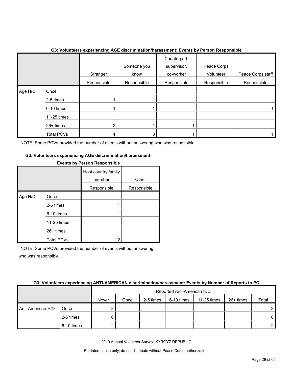|         |                   | Stranger       | Someone you<br>know | Counterpart,<br>supervisor,<br>co-worker | Peace Corps<br>Volunteer | Peace Corps staff |
|---------|-------------------|----------------|---------------------|------------------------------------------|--------------------------|-------------------|
|         |                   | Responsible    | Responsible         | Responsible                              | Responsible              | Responsible       |
| Age H/D | Once              |                |                     |                                          |                          |                   |
|         | 2-5 times         |                |                     |                                          |                          |                   |
|         | 6-10 times        |                |                     |                                          |                          |                   |
|         | 11-25 times       |                |                     |                                          |                          |                   |
|         | 26+ times         | $\overline{2}$ |                     |                                          |                          |                   |
|         | <b>Total PCVs</b> | 4              | 3                   |                                          |                          |                   |

#### **G3: Volunteers experiencing AGE discrimination/harassment: Events by Person Responsible**

NOTE: Some PCVs provided the number of events without answering who was responsible.

#### **G3: Volunteers experiencing AGE discrimination/harassment:**

|         |                   | <b>EVOIRS BY LIGHTHOPPORTS</b> |             |
|---------|-------------------|--------------------------------|-------------|
|         |                   | Host country family<br>member  | Other       |
|         |                   | Responsible                    | Responsible |
| Age H/D | Once              |                                |             |
|         | 2-5 times         |                                |             |
|         | 6-10 times        |                                |             |
|         | 11-25 times       |                                |             |
|         | 26+ times         |                                |             |
|         | <b>Total PCVs</b> | 2                              |             |

## **Events by Person Responsible**

NOTE: Some PCVs provided the number of events without answering who was responsible.

# **G3: Volunteers experiencing ANTI-AMERICAN discrimination/harassment: Events by Number of Reports to PC**

|                   |            |       | Reported Anti-American H/D |           |            |             |           |                |  |
|-------------------|------------|-------|----------------------------|-----------|------------|-------------|-----------|----------------|--|
|                   |            | Never | Once                       | 2-5 times | 6-10 times | 11-25 times | 26+ times | Total          |  |
| Anti-American H/D | Once       |       |                            |           |            |             |           | 3 I            |  |
|                   | 2-5 times  |       |                            |           |            |             |           | 6 I            |  |
|                   | 6-10 times |       |                            |           |            |             |           | 2 <sub>1</sub> |  |

2010 Annual Volunteer Survey: KYRGYZ REPUBLIC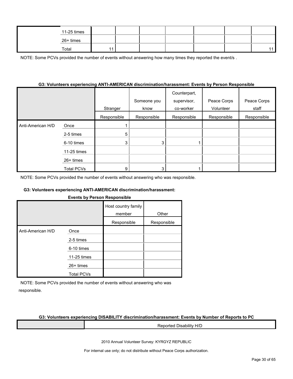|  | 11-25 times |  |  |  |  |
|--|-------------|--|--|--|--|
|  | 26+ times   |  |  |  |  |
|  | Total       |  |  |  |  |

NOTE: Some PCVs provided the number of events without answering how many times they reported the event/s.

### **G3: Volunteers experiencing ANTI-AMERICAN discrimination/harassment: Events by Person Responsible**

|                   |                   | Stranger    | Someone you<br>know | Counterpart,<br>supervisor,<br>co-worker | Peace Corps<br>Volunteer | Peace Corps<br>staff |
|-------------------|-------------------|-------------|---------------------|------------------------------------------|--------------------------|----------------------|
|                   |                   | Responsible | Responsible         | Responsible                              | Responsible              | Responsible          |
| Anti-American H/D | Once              |             |                     |                                          |                          |                      |
|                   | 2-5 times         | 5           |                     |                                          |                          |                      |
|                   | 6-10 times        | 3           | 3                   |                                          |                          |                      |
|                   | 11-25 times       |             |                     |                                          |                          |                      |
|                   | 26+ times         |             |                     |                                          |                          |                      |
|                   | <b>Total PCVs</b> | 9           | 3                   |                                          |                          |                      |

NOTE: Some PCVs provided the number of events without answering who was responsible.

#### **G3: Volunteers experiencing ANTI-AMERICAN discrimination/harassment:**

#### **Events by Person Responsible**

|                   |                   | Host country family<br>member | Other       |
|-------------------|-------------------|-------------------------------|-------------|
|                   |                   | Responsible                   | Responsible |
| Anti-American H/D | Once              |                               |             |
|                   | 2-5 times         |                               |             |
|                   | 6-10 times        |                               |             |
|                   | 11-25 times       |                               |             |
|                   | $26+$ times       |                               |             |
|                   | <b>Total PCVs</b> |                               |             |

NOTE: Some PCVs provided the number of events without answering who was responsible.

#### **G3: Volunteers experiencing DISABILITY discrimination/harassment: Events by Number of Reports to PC**

Reported Disability H/D

2010 Annual Volunteer Survey: KYRGYZ REPUBLIC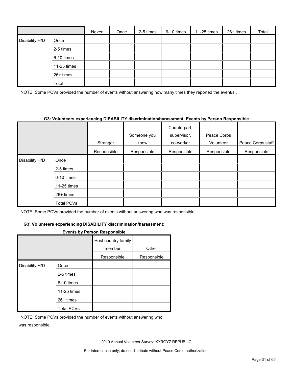|                |             | Never | Once | 2-5 times | 6-10 times | 11-25 times | 26+ times | Total |
|----------------|-------------|-------|------|-----------|------------|-------------|-----------|-------|
| Disability H/D | Once        |       |      |           |            |             |           |       |
|                | 2-5 times   |       |      |           |            |             |           |       |
|                | 6-10 times  |       |      |           |            |             |           |       |
|                | 11-25 times |       |      |           |            |             |           |       |
|                | $26+$ times |       |      |           |            |             |           |       |
|                | Total       |       |      |           |            |             |           |       |

NOTE: Some PCVs provided the number of events without answering how many times they reported the event/s.

#### **G3: Volunteers experiencing DISABILITY discrimination/harassment: Events by Person Responsible**

|                |                   |             | Someone you | Counterpart,<br>supervisor, | Peace Corps |                   |
|----------------|-------------------|-------------|-------------|-----------------------------|-------------|-------------------|
|                |                   | Stranger    | know        | co-worker                   | Volunteer   | Peace Corps staff |
|                |                   | Responsible | Responsible | Responsible                 | Responsible | Responsible       |
| Disability H/D | Once              |             |             |                             |             |                   |
|                | 2-5 times         |             |             |                             |             |                   |
|                | 6-10 times        |             |             |                             |             |                   |
|                | 11-25 times       |             |             |                             |             |                   |
|                | 26+ times         |             |             |                             |             |                   |
|                | <b>Total PCVs</b> |             |             |                             |             |                   |

NOTE: Some PCVs provided the number of events without answering who was responsible.

#### **G3: Volunteers experiencing DISABILITY discrimination/harassment:**

#### **Events by Person Responsible**

|                |                   | Host country family<br>member | Other       |
|----------------|-------------------|-------------------------------|-------------|
|                |                   | Responsible                   | Responsible |
| Disability H/D | Once              |                               |             |
|                | 2-5 times         |                               |             |
|                | 6-10 times        |                               |             |
|                | 11-25 times       |                               |             |
|                | $26+$ times       |                               |             |
|                | <b>Total PCVs</b> |                               |             |

NOTE: Some PCVs provided the number of events without answering who was responsible.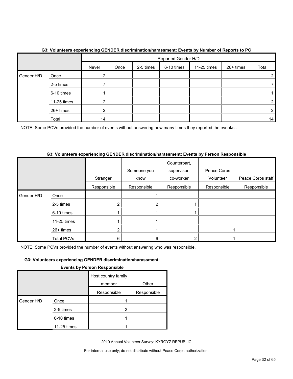|            |             | Reported Gender H/D |      |           |            |             |           |       |  |  |
|------------|-------------|---------------------|------|-----------|------------|-------------|-----------|-------|--|--|
|            |             | Never               | Once | 2-5 times | 6-10 times | 11-25 times | 26+ times | Total |  |  |
| Gender H/D | Once        | ◠                   |      |           |            |             |           | ົ     |  |  |
|            | 2-5 times   |                     |      |           |            |             |           |       |  |  |
|            | 6-10 times  |                     |      |           |            |             |           |       |  |  |
|            | 11-25 times | ⌒                   |      |           |            |             |           | າ     |  |  |
|            | 26+ times   | ົ                   |      |           |            |             |           |       |  |  |
|            | Total       | 14                  |      |           |            |             |           | 14    |  |  |

# **G3: Volunteers experiencing GENDER discrimination/harassment: Events by Number of Reports to PC**

NOTE: Some PCVs provided the number of events without answering how many times they reported the event/s.

# **G3: Volunteers experiencing GENDER discrimination/harassment: Events by Person Responsible**

|            |             |             | Someone you | Counterpart,<br>supervisor, | Peace Corps |                   |
|------------|-------------|-------------|-------------|-----------------------------|-------------|-------------------|
|            |             |             |             |                             |             |                   |
|            |             | Stranger    | know        | co-worker                   | Volunteer   | Peace Corps staff |
|            |             | Responsible | Responsible | Responsible                 | Responsible | Responsible       |
| Gender H/D | Once        |             |             |                             |             |                   |
|            | 2-5 times   | າ           | 2           |                             |             |                   |
|            | 6-10 times  |             |             |                             |             |                   |
|            | 11-25 times |             |             |                             |             |                   |
|            | 26+ times   | ኅ           |             |                             |             |                   |
|            | Total PCVs  | 6           | 6           |                             |             |                   |

NOTE: Some PCVs provided the number of events without answering who was responsible.

# **G3: Volunteers experiencing GENDER discrimination/harassment:**

#### **Events by Person Responsible**

|            |             | Host country family<br>member | Other       |
|------------|-------------|-------------------------------|-------------|
|            |             | Responsible                   | Responsible |
| Gender H/D | Once        |                               |             |
|            | 2-5 times   | $\overline{2}$                |             |
|            | 6-10 times  |                               |             |
|            | 11-25 times |                               |             |

2010 Annual Volunteer Survey: KYRGYZ REPUBLIC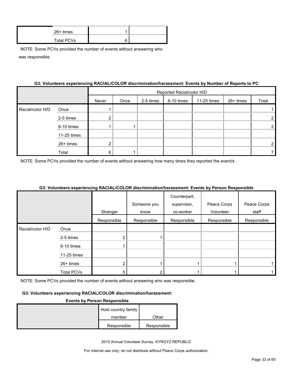| $26+$ times       |   |  |
|-------------------|---|--|
| <b>Total PCVs</b> | 6 |  |

|                  |             | G3: Volunteers experiencing RACIAL/COLOR discrimination/harassment: Events by Number of Reports to PC |                           |           |            |             |           |                       |
|------------------|-------------|-------------------------------------------------------------------------------------------------------|---------------------------|-----------|------------|-------------|-----------|-----------------------|
|                  |             |                                                                                                       | Reported Racial/color H/D |           |            |             |           |                       |
|                  |             | Never                                                                                                 | Once                      | 2-5 times | 6-10 times | 11-25 times | 26+ times | Total                 |
| Racial/color H/D | Once        |                                                                                                       |                           |           |            |             |           |                       |
|                  | 2-5 times   | 2                                                                                                     |                           |           |            |             |           | $\mathbf{2}^{\prime}$ |
|                  | 6-10 times  |                                                                                                       |                           |           |            |             |           |                       |
|                  | 11-25 times |                                                                                                       |                           |           |            |             |           |                       |
|                  | $26+$ times | 2                                                                                                     |                           |           |            |             |           |                       |
|                  | Total       | 6                                                                                                     |                           |           |            |             |           |                       |

#### **G3: Volunteers experiencing RACIAL/COLOR discrimination/harassment: Events by Number of Reports to PC**

NOTE: Some PCVs provided the number of events without answering how many times they reported the event/s .

### **G3: Volunteers experiencing RACIAL/COLOR discrimination/harassment: Events by Person Responsible**

|                  |                   |             |             | Counterpart, |             |             |
|------------------|-------------------|-------------|-------------|--------------|-------------|-------------|
|                  |                   |             | Someone you | supervisor,  | Peace Corps | Peace Corps |
|                  |                   | Stranger    | know        | co-worker    | Volunteer   | staff       |
|                  |                   | Responsible | Responsible | Responsible  | Responsible | Responsible |
| Racial/color H/D | Once              |             |             |              |             |             |
|                  | 2-5 times         |             |             |              |             |             |
|                  | 6-10 times        |             |             |              |             |             |
|                  | 11-25 times       |             |             |              |             |             |
|                  | $26+$ times       |             |             |              |             |             |
|                  | <b>Total PCVs</b> | 5           |             |              |             |             |

NOTE: Some PCVs provided the number of events without answering who was responsible.

#### **G3: Volunteers experiencing RACIAL/COLOR discrimination/harassment:**

#### **Events by Person Responsible**

| Host country family |             |
|---------------------|-------------|
| member              | Other       |
| Responsible         | Responsible |

2010 Annual Volunteer Survey: KYRGYZ REPUBLIC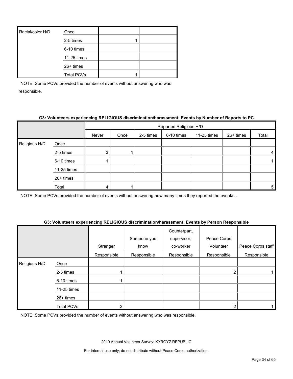| Racial/color H/D | Once              |  |
|------------------|-------------------|--|
|                  | 2-5 times         |  |
|                  | 6-10 times        |  |
|                  | 11-25 times       |  |
|                  | 26+ times         |  |
|                  | <b>Total PCVs</b> |  |

## **G3: Volunteers experiencing RELIGIOUS discrimination/harassment: Events by Number of Reports to PC**

|                                                     |       | Reported Religious H/D |      |           |            |             |           |       |
|-----------------------------------------------------|-------|------------------------|------|-----------|------------|-------------|-----------|-------|
|                                                     |       | Never                  | Once | 2-5 times | 6-10 times | 11-25 times | 26+ times | Total |
| Religious H/D                                       | Once  |                        |      |           |            |             |           |       |
| 2-5 times<br>6-10 times<br>11-25 times<br>26+ times |       | 3 <sub>1</sub>         |      |           |            |             |           | 4     |
|                                                     |       |                        |      |           |            |             |           |       |
|                                                     |       |                        |      |           |            |             |           |       |
|                                                     |       |                        |      |           |            |             |           |       |
|                                                     | Total | 4                      |      |           |            |             |           | 5     |

NOTE: Some PCVs provided the number of events without answering how many times they reported the event/s .

#### **G3: Volunteers experiencing RELIGIOUS discrimination/harassment: Events by Person Responsible**

|               |                   | Stranger    | Someone you<br>know | Counterpart,<br>supervisor,<br>co-worker | Peace Corps<br>Volunteer | Peace Corps staff |
|---------------|-------------------|-------------|---------------------|------------------------------------------|--------------------------|-------------------|
|               |                   | Responsible | Responsible         | Responsible                              | Responsible              | Responsible       |
| Religious H/D | Once              |             |                     |                                          |                          |                   |
|               | 2-5 times         |             |                     |                                          |                          |                   |
|               | 6-10 times        |             |                     |                                          |                          |                   |
|               | 11-25 times       |             |                     |                                          |                          |                   |
|               | 26+ times         |             |                     |                                          |                          |                   |
|               | <b>Total PCVs</b> | 2           |                     |                                          |                          |                   |

NOTE: Some PCVs provided the number of events without answering who was responsible.

2010 Annual Volunteer Survey: KYRGYZ REPUBLIC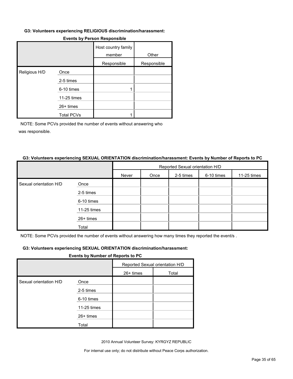#### **G3: Volunteers experiencing RELIGIOUS discrimination/harassment:**

|               |                   | Host country family<br>member | Other       |
|---------------|-------------------|-------------------------------|-------------|
|               |                   | Responsible                   | Responsible |
| Religious H/D | Once              |                               |             |
|               | 2-5 times         |                               |             |
|               | 6-10 times        |                               |             |
|               | 11-25 times       |                               |             |
|               | 26+ times         |                               |             |
|               | <b>Total PCVs</b> |                               |             |

#### **Events by Person Responsible**

NOTE: Some PCVs provided the number of events without answering who was responsible.

#### **G3: Volunteers experiencing SEXUAL ORIENTATION discrimination/harassment: Events by Number of Reports to PC**

|                        |             | Reported Sexual orientation H/D |      |           |            |             |  |
|------------------------|-------------|---------------------------------|------|-----------|------------|-------------|--|
|                        |             | Never                           | Once | 2-5 times | 6-10 times | 11-25 times |  |
| Sexual orientation H/D | Once        |                                 |      |           |            |             |  |
|                        | 2-5 times   |                                 |      |           |            |             |  |
|                        | 6-10 times  |                                 |      |           |            |             |  |
|                        | 11-25 times |                                 |      |           |            |             |  |
|                        | 26+ times   |                                 |      |           |            |             |  |
|                        | Total       |                                 |      |           |            |             |  |

NOTE: Some PCVs provided the number of events without answering how many times they reported the event/s .

#### **G3: Volunteers experiencing SEXUAL ORIENTATION discrimination/harassment:**

#### **Events by Number of Reports to PC**

|                        |             | Reported Sexual orientation H/D |       |
|------------------------|-------------|---------------------------------|-------|
|                        |             | $26+$ times                     | Total |
| Sexual orientation H/D | Once        |                                 |       |
|                        | 2-5 times   |                                 |       |
|                        | 6-10 times  |                                 |       |
|                        | 11-25 times |                                 |       |
|                        | 26+ times   |                                 |       |
|                        | Total       |                                 |       |

2010 Annual Volunteer Survey: KYRGYZ REPUBLIC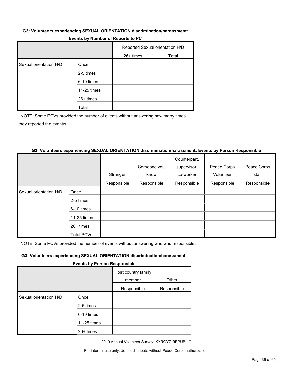#### **G3: Volunteers experiencing SEXUAL ORIENTATION discrimination/harassment:**

| $\blacksquare$         |             |                                 |       |  |  |
|------------------------|-------------|---------------------------------|-------|--|--|
|                        |             | Reported Sexual orientation H/D |       |  |  |
|                        |             | $26+$ times                     | Total |  |  |
| Sexual orientation H/D | Once        |                                 |       |  |  |
|                        | 2-5 times   |                                 |       |  |  |
|                        | 6-10 times  |                                 |       |  |  |
|                        | 11-25 times |                                 |       |  |  |
|                        | 26+ times   |                                 |       |  |  |
|                        | Total       |                                 |       |  |  |

# **Events by Number of Reports to PC**

NOTE: Some PCVs provided the number of events without answering how many times they reported the event/s .

#### **G3: Volunteers experiencing SEXUAL ORIENTATION discrimination/harassment: Events by Person Responsible**

|                        |                   |             |             | Counterpart, |             |             |
|------------------------|-------------------|-------------|-------------|--------------|-------------|-------------|
|                        |                   |             | Someone you | supervisor,  | Peace Corps | Peace Corps |
|                        |                   | Stranger    | know        | co-worker    | Volunteer   | staff       |
|                        |                   | Responsible | Responsible | Responsible  | Responsible | Responsible |
| Sexual orientation H/D | Once              |             |             |              |             |             |
|                        | 2-5 times         |             |             |              |             |             |
|                        | 6-10 times        |             |             |              |             |             |
|                        | 11-25 times       |             |             |              |             |             |
|                        | $26+$ times       |             |             |              |             |             |
|                        | <b>Total PCVs</b> |             |             |              |             |             |

NOTE: Some PCVs provided the number of events without answering who was responsible.

#### **G3: Volunteers experiencing SEXUAL ORIENTATION discrimination/harassment:**

#### **Events by Person Responsible**

|                        |             | Host country family<br>member | Other       |
|------------------------|-------------|-------------------------------|-------------|
|                        |             | Responsible                   | Responsible |
| Sexual orientation H/D | Once        |                               |             |
|                        | 2-5 times   |                               |             |
|                        | 6-10 times  |                               |             |
|                        | 11-25 times |                               |             |
|                        | $26+$ times |                               |             |
|                        |             |                               |             |

2010 Annual Volunteer Survey: KYRGYZ REPUBLIC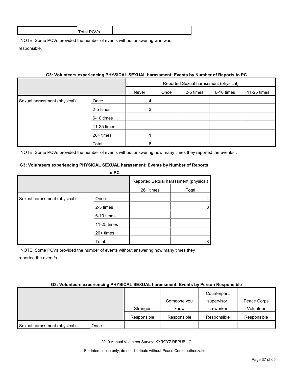# **G3: Volunteers experiencing PHYSICAL SEXUAL harassment: Events by Number of Reports to PC**

|                              |             | Reported Sexual harassment (physical) |      |           |            |             |
|------------------------------|-------------|---------------------------------------|------|-----------|------------|-------------|
|                              |             | Never                                 | Once | 2-5 times | 6-10 times | 11-25 times |
| Sexual harassment (physical) | Once        | 4                                     |      |           |            |             |
|                              | 2-5 times   | 3                                     |      |           |            |             |
|                              | 6-10 times  |                                       |      |           |            |             |
|                              | 11-25 times |                                       |      |           |            |             |
|                              | 26+ times   |                                       |      |           |            |             |
|                              | Total       | 8                                     |      |           |            |             |

NOTE: Some PCVs provided the number of events without answering how many times they reported the event/s.

#### **G3: Volunteers experiencing PHYSICAL SEXUAL harassment: Events by Number of Reports to PC**

|                              | <b>ULC</b>  |                                       |       |
|------------------------------|-------------|---------------------------------------|-------|
|                              |             | Reported Sexual harassment (physical) |       |
|                              |             | 26+ times                             | Total |
| Sexual harassment (physical) | Once        |                                       |       |
|                              | 2-5 times   |                                       |       |
|                              | 6-10 times  |                                       |       |
|                              | 11-25 times |                                       |       |
|                              | 26+ times   |                                       |       |
|                              | Total       |                                       |       |

NOTE: Some PCVs provided the number of events without answering how many times they reported the event/s .

#### **G3: Volunteers experiencing PHYSICAL SEXUAL harassment: Events by Person Responsible**

|                              |      |             | Someone you | Counterpart,<br>supervisor, | Peace Corps |
|------------------------------|------|-------------|-------------|-----------------------------|-------------|
|                              |      | Stranger    | know        | co-worker                   | Volunteer   |
|                              |      | Responsible | Responsible | Responsible                 | Responsible |
| Sexual harassment (physical) | Once |             |             |                             |             |

2010 Annual Volunteer Survey: KYRGYZ REPUBLIC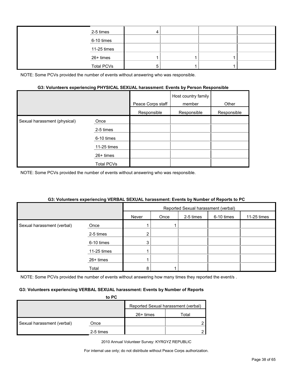| 2-5 times         |  |  |
|-------------------|--|--|
| 6-10 times        |  |  |
| 11-25 times       |  |  |
| 26+ times         |  |  |
| <b>Total PCVs</b> |  |  |

#### **G3: Volunteers experiencing PHYSICAL SEXUAL harassment: Events by Person Responsible**

|                              |                   | Peace Corps staff | Host country family<br>member | Other       |
|------------------------------|-------------------|-------------------|-------------------------------|-------------|
|                              |                   | Responsible       | Responsible                   | Responsible |
| Sexual harassment (physical) | Once              |                   |                               |             |
|                              | 2-5 times         |                   |                               |             |
|                              | 6-10 times        |                   |                               |             |
|                              | 11-25 times       |                   |                               |             |
|                              | $26+$ times       |                   |                               |             |
|                              | <b>Total PCVs</b> |                   |                               |             |

NOTE: Some PCVs provided the number of events without answering who was responsible.

#### **G3: Volunteers experiencing VERBAL SEXUAL harassment: Events by Number of Reports to PC**

|                            |             | Reported Sexual harassment (verbal) |      |           |            |             |
|----------------------------|-------------|-------------------------------------|------|-----------|------------|-------------|
|                            |             | Never                               | Once | 2-5 times | 6-10 times | 11-25 times |
| Sexual harassment (verbal) | Once        |                                     |      |           |            |             |
|                            | 2-5 times   | ⌒                                   |      |           |            |             |
|                            | 6-10 times  | 3                                   |      |           |            |             |
|                            | 11-25 times |                                     |      |           |            |             |
|                            | 26+ times   |                                     |      |           |            |             |
|                            | Total       | 8                                   |      |           |            |             |

NOTE: Some PCVs provided the number of events without answering how many times they reported the event/s.

#### **G3: Volunteers experiencing VERBAL SEXUAL harassment: Events by Number of Reports**

|                            | to PC     |                                     |       |
|----------------------------|-----------|-------------------------------------|-------|
|                            |           | Reported Sexual harassment (verbal) |       |
|                            |           | 26+ times                           | Total |
| Sexual harassment (verbal) | Once      |                                     |       |
|                            | 2-5 times |                                     |       |

2010 Annual Volunteer Survey: KYRGYZ REPUBLIC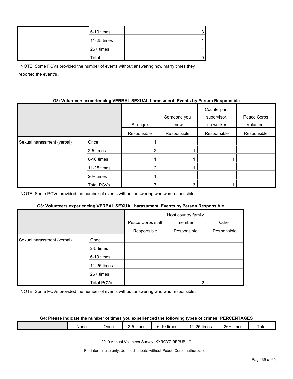| 6-10 times  |  |
|-------------|--|
| 11-25 times |  |
| 26+ times   |  |
| Total       |  |

NOTE: Some PCVs provided the number of events without answering how many times they reported the event/s .

#### **G3: Volunteers experiencing VERBAL SEXUAL harassment: Events by Person Responsible**

|                            |                   | Stranger       | Someone you<br>know | Counterpart,<br>supervisor,<br>co-worker | Peace Corps<br>Volunteer |
|----------------------------|-------------------|----------------|---------------------|------------------------------------------|--------------------------|
|                            |                   | Responsible    | Responsible         | Responsible                              | Responsible              |
| Sexual harassment (verbal) | Once              |                |                     |                                          |                          |
|                            | 2-5 times         | $\overline{2}$ |                     |                                          |                          |
|                            | 6-10 times        |                |                     |                                          |                          |
|                            | 11-25 times       | $\overline{2}$ |                     |                                          |                          |
|                            | $26+$ times       |                |                     |                                          |                          |
|                            | <b>Total PCVs</b> |                | 3                   |                                          |                          |

NOTE: Some PCVs provided the number of events without answering who was responsible.

#### **G3: Volunteers experiencing VERBAL SEXUAL harassment: Events by Person Responsible**

|                            |                   | Peace Corps staff | Host country family<br>member | Other       |
|----------------------------|-------------------|-------------------|-------------------------------|-------------|
|                            |                   | Responsible       | Responsible                   | Responsible |
| Sexual harassment (verbal) | Once              |                   |                               |             |
|                            | 2-5 times         |                   |                               |             |
|                            | 6-10 times        |                   |                               |             |
|                            | 11-25 times       |                   |                               |             |
|                            | $26+$ times       |                   |                               |             |
|                            | <b>Total PCVs</b> |                   | ◠                             |             |

NOTE: Some PCVs provided the number of events without answering who was responsible.

#### **G4: Please indicate the number of times you experienced the following types of crimes: PERCENTAGES**

|  |  | None | ⊃nce | $-$<br>. .<br>times | $\cdots$<br>times<br>-<br>. . | $25 + h$<br>times<br>. .<br>. | $26 -$<br>times | –<br><sup>-</sup> otal |
|--|--|------|------|---------------------|-------------------------------|-------------------------------|-----------------|------------------------|
|--|--|------|------|---------------------|-------------------------------|-------------------------------|-----------------|------------------------|

2010 Annual Volunteer Survey: KYRGYZ REPUBLIC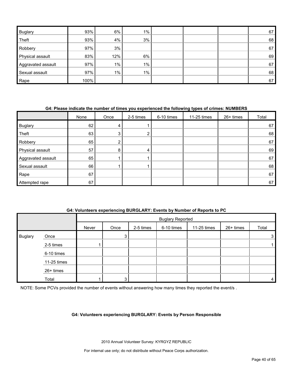| <b>Buglary</b>     | 93%  | 6%    | $1\%$ |  | 67 |
|--------------------|------|-------|-------|--|----|
| Theft              | 93%  | 4%    | 3%    |  | 68 |
| Robbery            | 97%  | 3%    |       |  | 67 |
| Physical assault   | 83%  | 12%   | 6%    |  | 69 |
| Aggravated assault | 97%  | $1\%$ | $1\%$ |  | 67 |
| Sexual assault     | 97%  | $1\%$ | $1\%$ |  | 68 |
| Rape               | 100% |       |       |  | 67 |

# **G4: Please indicate the number of times you experienced the following types of crimes: NUMBERS**

|                    | None | Once | 2-5 times | 6-10 times | 11-25 times | 26+ times | Total |
|--------------------|------|------|-----------|------------|-------------|-----------|-------|
| <b>Buglary</b>     | 62   | 4    |           |            |             |           | 67    |
| Theft              | 63   | 3    | ົ         |            |             |           | 68    |
| Robbery            | 65   | ⌒    |           |            |             |           | 67    |
| Physical assault   | 57   | 8    | 4         |            |             |           | 69    |
| Aggravated assault | 65   |      |           |            |             |           | 67    |
| Sexual assault     | 66   |      |           |            |             |           | 68    |
| Rape               | 67   |      |           |            |             |           | 67    |
| Attempted rape     | 67   |      |           |            |             |           | 67    |

## **G4: Volunteers experiencing BURGLARY: Events by Number of Reports to PC**

|                |             |       | <b>Buglary Reported</b> |           |            |             |           |       |
|----------------|-------------|-------|-------------------------|-----------|------------|-------------|-----------|-------|
|                |             | Never | Once                    | 2-5 times | 6-10 times | 11-25 times | 26+ times | Total |
| <b>Buglary</b> | Once        |       | 3                       |           |            |             |           | 3     |
|                | 2-5 times   |       |                         |           |            |             |           |       |
|                | 6-10 times  |       |                         |           |            |             |           |       |
|                | 11-25 times |       |                         |           |            |             |           |       |
|                | 26+ times   |       |                         |           |            |             |           |       |
|                | Total       |       | 3                       |           |            |             |           | 4     |

NOTE: Some PCVs provided the number of events without answering how many times they reported the event/s.

#### **G4: Volunteers experiencing BURGLARY: Events by Person Responsible**

2010 Annual Volunteer Survey: KYRGYZ REPUBLIC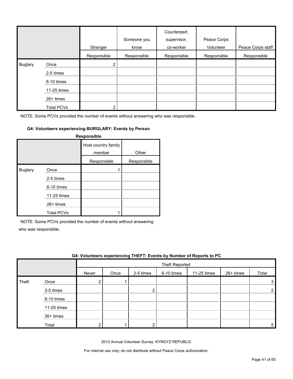|                |                   | Stranger              | Someone you<br>know | Counterpart,<br>supervisor,<br>co-worker | Peace Corps<br>Volunteer | Peace Corps staff |
|----------------|-------------------|-----------------------|---------------------|------------------------------------------|--------------------------|-------------------|
|                |                   | Responsible           | Responsible         | Responsible                              | Responsible              | Responsible       |
| <b>Buglary</b> | Once              | $\mathbf{2}^{\prime}$ |                     |                                          |                          |                   |
|                | 2-5 times         |                       |                     |                                          |                          |                   |
|                | 6-10 times        |                       |                     |                                          |                          |                   |
|                | 11-25 times       |                       |                     |                                          |                          |                   |
|                | $26+$ times       |                       |                     |                                          |                          |                   |
|                | <b>Total PCVs</b> | 2                     |                     |                                          |                          |                   |

#### **G4: Volunteers experiencing BURGLARY: Events by Person**

|                |                   | Responsible                   |             |
|----------------|-------------------|-------------------------------|-------------|
|                |                   | Host country family<br>member | Other       |
|                |                   | Responsible                   | Responsible |
| <b>Buglary</b> | Once              |                               |             |
|                | 2-5 times         |                               |             |
|                | 6-10 times        |                               |             |
|                | 11-25 times       |                               |             |
|                | $26+$ times       |                               |             |
|                | <b>Total PCVs</b> |                               |             |

NOTE: Some PCVs provided the number of events without answering

who was responsible.

|       | G4: Volunteers experiencing THEFT: Events by Number of Reports to PC |       |      |           |                       |             |           |       |
|-------|----------------------------------------------------------------------|-------|------|-----------|-----------------------|-------------|-----------|-------|
|       |                                                                      |       |      |           | <b>Theft Reported</b> |             |           |       |
|       |                                                                      | Never | Once | 2-5 times | 6-10 times            | 11-25 times | 26+ times | Total |
| Theft | Once                                                                 |       |      |           |                       |             |           |       |
|       | 2-5 times                                                            |       |      | ົ         |                       |             |           |       |
|       | 6-10 times                                                           |       |      |           |                       |             |           |       |
|       | 11-25 times                                                          |       |      |           |                       |             |           |       |
|       | $26+$ times                                                          |       |      |           |                       |             |           |       |
|       | Total                                                                |       |      |           |                       |             |           | 5     |

2010 Annual Volunteer Survey: KYRGYZ REPUBLIC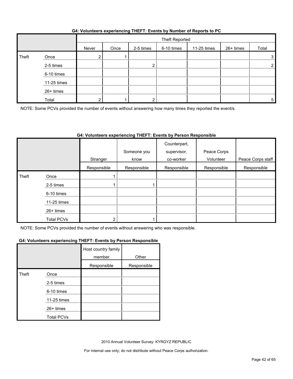## **G4: Volunteers experiencing THEFT: Events by Number of Reports to PC**

|       |             |                       | Theft Reported |           |            |             |           |                |
|-------|-------------|-----------------------|----------------|-----------|------------|-------------|-----------|----------------|
|       |             | Never                 | Once           | 2-5 times | 6-10 times | 11-25 times | 26+ times | Total          |
| Theft | Once        | $\mathbf{2}^{\prime}$ |                |           |            |             |           | 3              |
|       | 2-5 times   |                       |                |           |            |             |           | $\overline{2}$ |
|       | 6-10 times  |                       |                |           |            |             |           |                |
|       | 11-25 times |                       |                |           |            |             |           |                |
|       | 26+ times   |                       |                |           |            |             |           |                |
|       | Total       | ົ                     |                |           |            |             |           | 5              |

NOTE: Some PCVs provided the number of events without answering how many times they reported the event/s.

# **G4: Volunteers experiencing THEFT: Events by Person Responsible**

|       |                   | Stranger    | Someone you<br>know | Counterpart,<br>supervisor,<br>co-worker | Peace Corps<br>Volunteer | Peace Corps staff |
|-------|-------------------|-------------|---------------------|------------------------------------------|--------------------------|-------------------|
|       |                   | Responsible | Responsible         | Responsible                              | Responsible              | Responsible       |
| Theft | Once              |             |                     |                                          |                          |                   |
|       | 2-5 times         |             |                     |                                          |                          |                   |
|       | 6-10 times        |             |                     |                                          |                          |                   |
|       | 11-25 times       |             |                     |                                          |                          |                   |
|       | 26+ times         |             |                     |                                          |                          |                   |
|       | <b>Total PCVs</b> |             |                     |                                          |                          |                   |

NOTE: Some PCVs provided the number of events without answering who was responsible.

#### **G4: Volunteers experiencing THEFT: Events by Person Responsible**

|       |                   | Host country family<br>member | Other       |
|-------|-------------------|-------------------------------|-------------|
|       |                   | Responsible                   | Responsible |
| Theft | Once              |                               |             |
|       | 2-5 times         |                               |             |
|       | 6-10 times        |                               |             |
|       | 11-25 times       |                               |             |
|       | $26+$ times       |                               |             |
|       | <b>Total PCVs</b> |                               |             |

2010 Annual Volunteer Survey: KYRGYZ REPUBLIC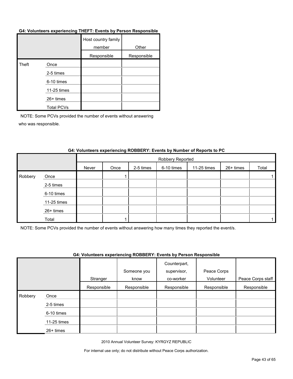#### **G4: Volunteers experiencing THEFT: Events by Person Responsible**

|       |                   | Host country family<br>member | Other       |
|-------|-------------------|-------------------------------|-------------|
|       |                   | Responsible                   | Responsible |
| Theft | Once              |                               |             |
|       | 2-5 times         |                               |             |
|       | 6-10 times        |                               |             |
|       | 11-25 times       |                               |             |
|       | 26+ times         |                               |             |
|       | <b>Total PCVs</b> |                               |             |

NOTE: Some PCVs provided the number of events without answering who was responsible.

|         |             |       | Robbery Reported |           |            |             |           |       |
|---------|-------------|-------|------------------|-----------|------------|-------------|-----------|-------|
|         |             | Never | Once             | 2-5 times | 6-10 times | 11-25 times | 26+ times | Total |
| Robbery | Once        |       |                  |           |            |             |           |       |
|         | 2-5 times   |       |                  |           |            |             |           |       |
|         | 6-10 times  |       |                  |           |            |             |           |       |
|         | 11-25 times |       |                  |           |            |             |           |       |
|         | 26+ times   |       |                  |           |            |             |           |       |
|         | Total       |       |                  |           |            |             |           |       |

#### **G4: Volunteers experiencing ROBBERY: Events by Number of Reports to PC**

NOTE: Some PCVs provided the number of events without answering how many times they reported the event/s.

#### **G4: Volunteers experiencing ROBBERY: Events by Person Responsible**

|         |             | Stranger    | Someone you<br>know | Counterpart,<br>supervisor,<br>co-worker | Peace Corps<br>Volunteer | Peace Corps staff |
|---------|-------------|-------------|---------------------|------------------------------------------|--------------------------|-------------------|
|         |             | Responsible | Responsible         | Responsible                              | Responsible              | Responsible       |
| Robbery | Once        |             |                     |                                          |                          |                   |
|         | 2-5 times   |             |                     |                                          |                          |                   |
|         | 6-10 times  |             |                     |                                          |                          |                   |
|         | 11-25 times |             |                     |                                          |                          |                   |
|         | 26+ times   |             |                     |                                          |                          |                   |

2010 Annual Volunteer Survey: KYRGYZ REPUBLIC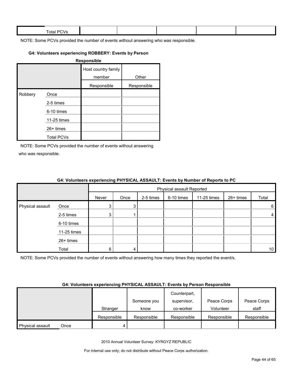| $ -$<br><b>Total PL</b><br>$\mathbf{v}$ |  |  |  |
|-----------------------------------------|--|--|--|
|                                         |  |  |  |

#### **G4: Volunteers experiencing ROBBERY: Events by Person**

| Responsible |                   |                               |             |  |  |  |
|-------------|-------------------|-------------------------------|-------------|--|--|--|
|             |                   | Host country family<br>member | Other       |  |  |  |
|             |                   | Responsible                   | Responsible |  |  |  |
| Robbery     | Once              |                               |             |  |  |  |
|             | 2-5 times         |                               |             |  |  |  |
|             | 6-10 times        |                               |             |  |  |  |
|             | 11-25 times       |                               |             |  |  |  |
|             | $26+$ times       |                               |             |  |  |  |
|             | <b>Total PCVs</b> |                               |             |  |  |  |

NOTE: Some PCVs provided the number of events without answering who was responsible.

|                  |             | <b>One common oxponenting increased AgoAgen</b> Evento by namber of hopeito to re- |                           |           |            |             |           |                 |
|------------------|-------------|------------------------------------------------------------------------------------|---------------------------|-----------|------------|-------------|-----------|-----------------|
|                  |             |                                                                                    | Physical assault Reported |           |            |             |           |                 |
|                  |             | Never                                                                              | Once                      | 2-5 times | 6-10 times | 11-25 times | 26+ times | Total           |
| Physical assault | Once        | 3                                                                                  | 3 <sup>1</sup>            |           |            |             |           | 6               |
|                  | 2-5 times   | 3                                                                                  |                           |           |            |             |           | $\overline{4}$  |
|                  | 6-10 times  |                                                                                    |                           |           |            |             |           |                 |
|                  | 11-25 times |                                                                                    |                           |           |            |             |           |                 |
|                  | 26+ times   |                                                                                    |                           |           |            |             |           |                 |
|                  | Total       | 6                                                                                  | 4                         |           |            |             |           | 10 <sup>1</sup> |

#### **G4: Volunteers experiencing PHYSICAL ASSAULT: Events by Number of Reports to PC**

NOTE: Some PCVs provided the number of events without answering how many times they reported the event/s.

#### **G4: Volunteers experiencing PHYSICAL ASSAULT: Events by Person Responsible**

|                  |      |             |             | Counterpart, |             |             |
|------------------|------|-------------|-------------|--------------|-------------|-------------|
|                  |      |             | Someone you | supervisor,  | Peace Corps | Peace Corps |
|                  |      | Stranger    | know        | co-worker    | Volunteer   | staff       |
|                  |      | Responsible | Responsible | Responsible  | Responsible | Responsible |
| Physical assault | Once |             |             |              |             |             |

2010 Annual Volunteer Survey: KYRGYZ REPUBLIC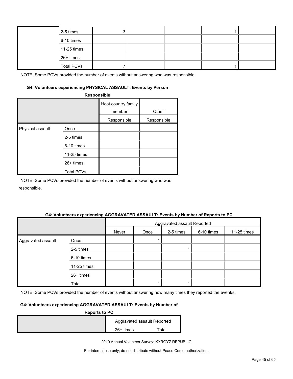| 2-5 times         |  |  |  |
|-------------------|--|--|--|
| 6-10 times        |  |  |  |
| 11-25 times       |  |  |  |
| 26+ times         |  |  |  |
| <b>Total PCVs</b> |  |  |  |

#### **G4: Volunteers experiencing PHYSICAL ASSAULT: Events by Person**

| <b>Responsible</b> |                   |                               |             |  |  |  |  |
|--------------------|-------------------|-------------------------------|-------------|--|--|--|--|
|                    |                   | Host country family<br>member | Other       |  |  |  |  |
|                    |                   | Responsible                   | Responsible |  |  |  |  |
| Physical assault   | Once              |                               |             |  |  |  |  |
|                    | 2-5 times         |                               |             |  |  |  |  |
|                    | 6-10 times        |                               |             |  |  |  |  |
|                    | 11-25 times       |                               |             |  |  |  |  |
|                    | 26+ times         |                               |             |  |  |  |  |
|                    | <b>Total PCVs</b> |                               |             |  |  |  |  |

NOTE: Some PCVs provided the number of events without answering who was responsible.

#### **G4: Volunteers experiencing AGGRAVATED ASSAULT: Events by Number of Reports to PC**

|                    |             | Aggravated assault Reported |      |           |            |             |
|--------------------|-------------|-----------------------------|------|-----------|------------|-------------|
|                    |             | Never                       | Once | 2-5 times | 6-10 times | 11-25 times |
| Aggravated assault | Once        |                             |      |           |            |             |
|                    | 2-5 times   |                             |      |           |            |             |
|                    | 6-10 times  |                             |      |           |            |             |
|                    | 11-25 times |                             |      |           |            |             |
|                    | 26+ times   |                             |      |           |            |             |
|                    | Total       |                             |      |           |            |             |

NOTE: Some PCVs provided the number of events without answering how many times they reported the event/s.

# **G4: Volunteers experiencing AGGRAVATED ASSAULT: Events by Number of**

| <b>Reports to PC</b> |             |                             |  |  |  |  |
|----------------------|-------------|-----------------------------|--|--|--|--|
|                      |             | Aggravated assault Reported |  |  |  |  |
|                      | $26+$ times | ⊺otal                       |  |  |  |  |

2010 Annual Volunteer Survey: KYRGYZ REPUBLIC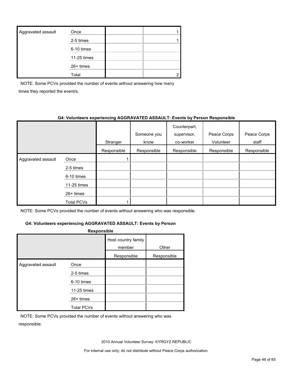| Aggravated assault | Once        |  |
|--------------------|-------------|--|
|                    | 2-5 times   |  |
|                    | 6-10 times  |  |
|                    | 11-25 times |  |
|                    | $26+$ times |  |
|                    | Total       |  |

NOTE: Some PCVs provided the number of events without answering how many times they reported the event/s.

## **G4: Volunteers experiencing AGGRAVATED ASSAULT: Events by Person Responsible**

|                    |             | Stranger    | Someone you<br>know | Counterpart,<br>supervisor,<br>co-worker | Peace Corps<br>Volunteer | Peace Corps<br>staff |
|--------------------|-------------|-------------|---------------------|------------------------------------------|--------------------------|----------------------|
|                    |             | Responsible | Responsible         | Responsible                              | Responsible              | Responsible          |
| Aggravated assault | Once        |             |                     |                                          |                          |                      |
|                    | 2-5 times   |             |                     |                                          |                          |                      |
|                    | 6-10 times  |             |                     |                                          |                          |                      |
|                    | 11-25 times |             |                     |                                          |                          |                      |
|                    | $26+$ times |             |                     |                                          |                          |                      |
|                    | Total PCVs  |             |                     |                                          |                          |                      |

NOTE: Some PCVs provided the number of events without answering who was responsible.

# **G4: Volunteers experiencing AGGRAVATED ASSAULT: Events by Person**

| <b>Responsible</b> |                   |                               |             |  |  |  |  |
|--------------------|-------------------|-------------------------------|-------------|--|--|--|--|
|                    |                   | Host country family<br>member | Other       |  |  |  |  |
|                    |                   | Responsible                   | Responsible |  |  |  |  |
| Aggravated assault | Once              |                               |             |  |  |  |  |
|                    | 2-5 times         |                               |             |  |  |  |  |
|                    | 6-10 times        |                               |             |  |  |  |  |
|                    | 11-25 times       |                               |             |  |  |  |  |
|                    | $26+$ times       |                               |             |  |  |  |  |
|                    | <b>Total PCVs</b> |                               |             |  |  |  |  |

NOTE: Some PCVs provided the number of events without answering who was responsible.

2010 Annual Volunteer Survey: KYRGYZ REPUBLIC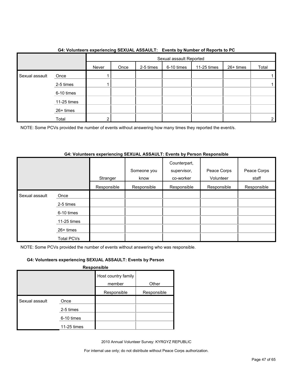|                |             |       | Sexual assault Reported |           |            |             |           |       |
|----------------|-------------|-------|-------------------------|-----------|------------|-------------|-----------|-------|
|                |             | Never | Once                    | 2-5 times | 6-10 times | 11-25 times | 26+ times | Total |
| Sexual assault | Once        |       |                         |           |            |             |           |       |
|                | 2-5 times   |       |                         |           |            |             |           |       |
|                | 6-10 times  |       |                         |           |            |             |           |       |
|                | 11-25 times |       |                         |           |            |             |           |       |
|                | 26+ times   |       |                         |           |            |             |           |       |
|                | Total       | 2     |                         |           |            |             |           | 2     |

## **G4: Volunteers experiencing SEXUAL ASSAULT: Events by Number of Reports to PC**

NOTE: Some PCVs provided the number of events without answering how many times they reported the event/s.

# **G4: Volunteers experiencing SEXUAL ASSAULT: Events by Person Responsible**

|                |                   | Stranger    | Someone you<br>know | Counterpart,<br>supervisor,<br>co-worker | Peace Corps<br>Volunteer | Peace Corps<br>staff |
|----------------|-------------------|-------------|---------------------|------------------------------------------|--------------------------|----------------------|
|                |                   | Responsible | Responsible         | Responsible                              | Responsible              | Responsible          |
| Sexual assault | Once              |             |                     |                                          |                          |                      |
|                | 2-5 times         |             |                     |                                          |                          |                      |
|                | 6-10 times        |             |                     |                                          |                          |                      |
|                | 11-25 times       |             |                     |                                          |                          |                      |
|                | 26+ times         |             |                     |                                          |                          |                      |
|                | <b>Total PCVs</b> |             |                     |                                          |                          |                      |

NOTE: Some PCVs provided the number of events without answering who was responsible.

# **G4: Volunteers experiencing SEXUAL ASSAULT: Events by Person**

**Responsible**

|                |             | Host country family |             |
|----------------|-------------|---------------------|-------------|
|                |             | member              | Other       |
|                |             | Responsible         | Responsible |
| Sexual assault | Once        |                     |             |
|                | 2-5 times   |                     |             |
|                | 6-10 times  |                     |             |
|                | 11-25 times |                     |             |

2010 Annual Volunteer Survey: KYRGYZ REPUBLIC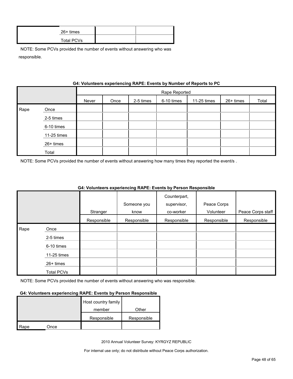| 26+ times  |  |
|------------|--|
| Total PCVs |  |

|      | G4: VOIUNTEER'S EXPERIENCING RAPE: EVENTS by NUMBER OF REPORTS TO PU |       |               |           |            |             |           |       |  |
|------|----------------------------------------------------------------------|-------|---------------|-----------|------------|-------------|-----------|-------|--|
|      |                                                                      |       | Rape Reported |           |            |             |           |       |  |
|      |                                                                      | Never | Once          | 2-5 times | 6-10 times | 11-25 times | 26+ times | Total |  |
| Rape | Once                                                                 |       |               |           |            |             |           |       |  |
|      | 2-5 times                                                            |       |               |           |            |             |           |       |  |
|      | 6-10 times                                                           |       |               |           |            |             |           |       |  |
|      | 11-25 times                                                          |       |               |           |            |             |           |       |  |
|      | 26+ times                                                            |       |               |           |            |             |           |       |  |
|      | Total                                                                |       |               |           |            |             |           |       |  |

#### **G4: Volunteers experiencing RAPE: Events by Number of Reports to PC**

NOTE: Some PCVs provided the number of events without answering how many times they reported the event/s .

|      |                   |             |             | Counterpart, |             |                   |
|------|-------------------|-------------|-------------|--------------|-------------|-------------------|
|      |                   |             | Someone you | supervisor,  | Peace Corps |                   |
|      |                   | Stranger    | know        | co-worker    | Volunteer   | Peace Corps staff |
|      |                   | Responsible | Responsible | Responsible  | Responsible | Responsible       |
| Rape | Once              |             |             |              |             |                   |
|      | 2-5 times         |             |             |              |             |                   |
|      | 6-10 times        |             |             |              |             |                   |
|      | 11-25 times       |             |             |              |             |                   |
|      | 26+ times         |             |             |              |             |                   |
|      | <b>Total PCVs</b> |             |             |              |             |                   |

# **G4: Volunteers experiencing RAPE: Events by Person Responsible**

NOTE: Some PCVs provided the number of events without answering who was responsible.

#### **G4: Volunteers experiencing RAPE: Events by Person Responsible**

|      |      | Host country family |             |
|------|------|---------------------|-------------|
|      |      | member              | Other       |
|      |      | Responsible         | Responsible |
| Rape | Once |                     |             |

2010 Annual Volunteer Survey: KYRGYZ REPUBLIC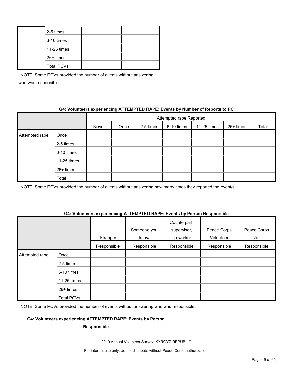| 2-5 times         |  |
|-------------------|--|
| 6-10 times        |  |
| 11-25 times       |  |
| 26+ times         |  |
| <b>Total PCVs</b> |  |

# **G4: Volunteers experiencing ATTEMPTED RAPE: Events by Number of Reports to PC**

|                |             | Attempted rape Reported |      |           |            |             |           |       |  |
|----------------|-------------|-------------------------|------|-----------|------------|-------------|-----------|-------|--|
|                |             | Never                   | Once | 2-5 times | 6-10 times | 11-25 times | 26+ times | Total |  |
| Attempted rape | Once        |                         |      |           |            |             |           |       |  |
|                | 2-5 times   |                         |      |           |            |             |           |       |  |
|                | 6-10 times  |                         |      |           |            |             |           |       |  |
|                | 11-25 times |                         |      |           |            |             |           |       |  |
|                | 26+ times   |                         |      |           |            |             |           |       |  |
|                | Total       |                         |      |           |            |             |           |       |  |

NOTE: Some PCVs provided the number of events without answering how many times they reported the event/s.

#### **G4: Volunteers experiencing ATTEMPTED RAPE: Events by Person Responsible**

|                |             | Stranger    | Someone you<br>know | Counterpart,<br>supervisor,<br>co-worker | Peace Corps<br>Volunteer | Peace Corps<br>staff |
|----------------|-------------|-------------|---------------------|------------------------------------------|--------------------------|----------------------|
|                |             | Responsible | Responsible         | Responsible                              | Responsible              | Responsible          |
| Attempted rape | Once        |             |                     |                                          |                          |                      |
|                | 2-5 times   |             |                     |                                          |                          |                      |
|                | 6-10 times  |             |                     |                                          |                          |                      |
|                | 11-25 times |             |                     |                                          |                          |                      |
|                | $26+$ times |             |                     |                                          |                          |                      |
|                | Total PCVs  |             |                     |                                          |                          |                      |

NOTE: Some PCVs provided the number of events without answering who was responsible.

## **G4: Volunteers experiencing ATTEMPTED RAPE: Events by Person**

#### **Responsible**

2010 Annual Volunteer Survey: KYRGYZ REPUBLIC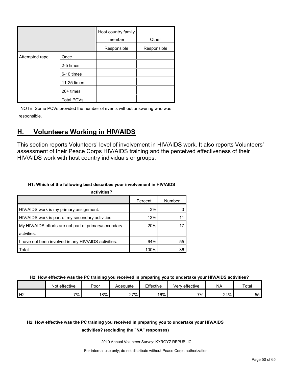|                |                   | Host country family<br>member | Other       |
|----------------|-------------------|-------------------------------|-------------|
|                |                   | Responsible                   | Responsible |
| Attempted rape | Once              |                               |             |
|                | 2-5 times         |                               |             |
|                | 6-10 times        |                               |             |
|                | 11-25 times       |                               |             |
|                | 26+ times         |                               |             |
|                | <b>Total PCVs</b> |                               |             |

# <span id="page-49-0"></span>**H. Volunteers Working in HIV/AIDS**

This section reports Volunteers' level of involvement in HIV/AIDS work. It also reports Volunteers' assessment of their Peace Corps HIV/AIDS training and the perceived effectiveness of their HIV/AIDS work with host country individuals or groups.

# **H1: Which of the following best describes your involvement in HIV/AIDS**

| activities?                                           |         |             |  |  |  |  |  |  |  |
|-------------------------------------------------------|---------|-------------|--|--|--|--|--|--|--|
|                                                       | Percent | Number      |  |  |  |  |  |  |  |
| HIV/AIDS work is my primary assignment.               | 3%      |             |  |  |  |  |  |  |  |
| HIV/AIDS work is part of my secondary activities.     | 13%     | $1^{\circ}$ |  |  |  |  |  |  |  |
| My HIV/AIDS efforts are not part of primary/secondary | 20%     |             |  |  |  |  |  |  |  |
| actvities.                                            |         |             |  |  |  |  |  |  |  |
| I have not been involved in any HIV/AIDS activities.  | 64%     | 55          |  |  |  |  |  |  |  |
| Total                                                 | 100%    | 86          |  |  |  |  |  |  |  |

**H2: How effective was the PC training you received in preparing you to undertake your HIV/AIDS activities?**

|    | effective<br>Not | Poor | Adequate | Effective | Very effective | <b>NA</b> | Total          |
|----|------------------|------|----------|-----------|----------------|-----------|----------------|
| Н2 | ᅍ.               | 18%  | $27\%$   | 16%       | 7%.            | 24%       | --<br>へへ<br>ບບ |

# **H2: How effective was the PC training you received in preparing you to undertake your HIV/AIDS**

# **activities? (excluding the "NA" responses)**

2010 Annual Volunteer Survey: KYRGYZ REPUBLIC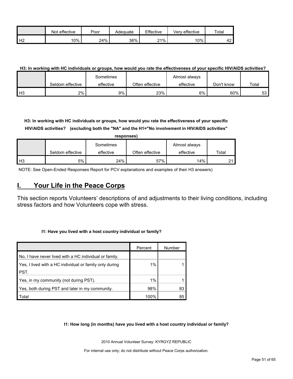|                | effective<br>Not | Poor | Adequate | Effective | Very effective | $\tau$ otar |
|----------------|------------------|------|----------|-----------|----------------|-------------|
| H <sub>2</sub> | 10%              | 24%  | 36%      | 21%       | 10%            | ໍ່<br>⊶     |

## **H3: In working with HC individuals or groups, how would you rate the effectiveness of your specific HIV/AIDS activities?**

|               |                  | Sometimes |                 | Almost always |            |       |
|---------------|------------------|-----------|-----------------|---------------|------------|-------|
|               | Seldom effective | effective | Often effective | effective     | Don't know | Total |
| $\mathsf{H}3$ | 2%               | 9%        | 23%             | 6%            | 60%        | 53 I  |

**H3: In working with HC individuals or groups, how would you rate the effectiveness of your specific HIV/AIDS activities? (excluding both the "NA" and the H1="No involvement in HIV/AIDS activities"** 

|                | responses)       |           |                 |               |       |  |  |  |  |  |  |
|----------------|------------------|-----------|-----------------|---------------|-------|--|--|--|--|--|--|
|                |                  | Sometimes |                 | Almost always |       |  |  |  |  |  |  |
|                | Seldom effective | effective | Often effective | effective     | Total |  |  |  |  |  |  |
| H <sub>3</sub> | 5%               | 24%       | 57%             | 14%           | ີ     |  |  |  |  |  |  |

NOTE: See Open-Ended Responses Report for PCV explanations and examples of their H3 answers)

# <span id="page-50-0"></span>**I. Your Life in the Peace Corps**

This section reports Volunteers' descriptions of and adjustments to their living conditions, including stress factors and how Volunteers cope with stress.

# **I1: Have you lived with a host country individual or family?**

|                                                         | Percent | Number |
|---------------------------------------------------------|---------|--------|
| No, I have never lived with a HC individual or family.  |         |        |
| Yes, I lived with a HC individual or family only during | $1\%$   |        |
| PST.                                                    |         |        |
| Yes, in my community (not during PST).                  | $1\%$   |        |
| Yes, both during PST and later in my community.         | 98%     | 83     |
| Total                                                   | 100%    | 85     |

**I1: How long (in months) have you lived with a host country individual or family?**

2010 Annual Volunteer Survey: KYRGYZ REPUBLIC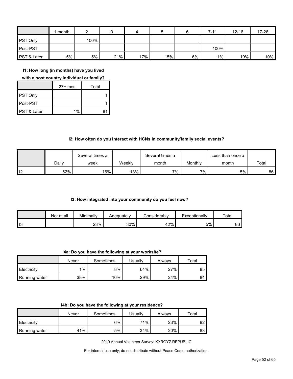|                 | month |      |     | 4   | 5   |    | $7 - 11$ | $12 - 16$ | 17-26 |
|-----------------|-------|------|-----|-----|-----|----|----------|-----------|-------|
| <b>PST Only</b> |       | 100% |     |     |     |    |          |           |       |
| Post-PST        |       |      |     |     |     |    | 100%     |           |       |
| PST & Later     | 5%    | 5%   | 21% | 17% | 15% | 6% | $1\%$    | 19%       | 10%   |

**I1: How long (in months) have you lived** 

**with a host country individual or family?**

|                        | $27+$ mos | Total |
|------------------------|-----------|-------|
| PST Only               |           |       |
| Post-PST               |           |       |
| <b>PST &amp; Later</b> | 1%        | R     |

## **I2: How often do you interact with HCNs in community/family social events?**

|      |       | Several times a |        | Several times a |         | Less than once a |       |
|------|-------|-----------------|--------|-----------------|---------|------------------|-------|
|      | Dailv | week            | Weeklv | month           | Monthly | month            | Total |
| l 12 | 52%   | 16%             | 13%    | 7%.             | $7\%$   | 5%               | 86    |

#### **I3: How integrated into your community do you feel now?**

|    | Not at all | Minimally | Adeauatelv | Considerabl∨ | Exceptionally | Total |
|----|------------|-----------|------------|--------------|---------------|-------|
| 13 |            | 23%       | 30%        | 42%          | 5%            | 86    |

**I4a: Do you have the following at your worksite?**

|               | Never | Sometimes | Usuallv | Alwavs | ⊤otal |
|---------------|-------|-----------|---------|--------|-------|
| Electricity   | $1\%$ | 8%        | 64%     | 27%    | 85    |
| Running water | 38%   | 10%       | 29%     | 24%    | 84    |

|  |  | 14b: Do you have the following at your residence? |
|--|--|---------------------------------------------------|
|--|--|---------------------------------------------------|

|               | Never | Sometimes | Usuallv | Always | ⊤otal |
|---------------|-------|-----------|---------|--------|-------|
| Electricity   |       | 6%        | 71%     | 23%    | 82    |
| Running water | 41%   | 5%        | 34%     | 20%    | 83    |

2010 Annual Volunteer Survey: KYRGYZ REPUBLIC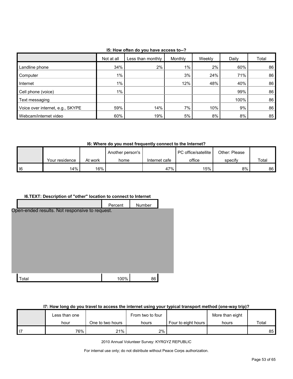| 15: How often do you have access to--? |  |
|----------------------------------------|--|
|----------------------------------------|--|

|                                  | Not at all | Less than monthly | Monthly | Weekly | Daily | Total |
|----------------------------------|------------|-------------------|---------|--------|-------|-------|
| Landline phone                   | 34%        | 2%                | $1\%$   | $2\%$  | 60%   | 86    |
| Computer                         | 1%         |                   | 3%      | 24%    | 71%   | 86    |
| Internet                         | $1\%$      |                   | 12%     | 48%    | 40%   | 86    |
| Cell phone (voice)               | $1\%$      |                   |         |        | 99%   | 86    |
| Text messaging                   |            |                   |         |        | 100%  | 86    |
| Voice over internet, e.g., SKYPE | 59%        | 14%               | 7%      | 10%    | 9%    | 86    |
| Webcam/internet video            | 60%        | 19%               | 5%      | 8%     | 8%    | 85    |

**I6: Where do you most frequently connect to the Internet?**

|            |                |         | Another person's |               | <b>PC</b> office/satellite | Other: Please |       |
|------------|----------------|---------|------------------|---------------|----------------------------|---------------|-------|
|            | Your residence | At work | home             | Internet cafe | office                     | specify       | Total |
| $\vert$ 16 | 4%             | 16%     |                  | 47%           | 15% i                      | 8%            | 86    |

# **I6.TEXT: Description of "other" location to connect to Internet**

|                                                | Percent | Number |  |
|------------------------------------------------|---------|--------|--|
| Open-ended results. Not responsive to request. |         |        |  |
|                                                |         |        |  |
|                                                |         |        |  |
|                                                |         |        |  |
|                                                |         |        |  |
|                                                |         |        |  |
| Total                                          | 100%    | 86     |  |

# **I7: How long do you travel to access the internet using your typical transport method (one-way trip)?**

| Less than one  |                  | From two to four |                     | More than eight |       |
|----------------|------------------|------------------|---------------------|-----------------|-------|
| hour           | One to two hours | hours            | Four to eight hours | hours           | Total |
| <sup>76%</sup> | 21%              | 2%               |                     |                 | 85    |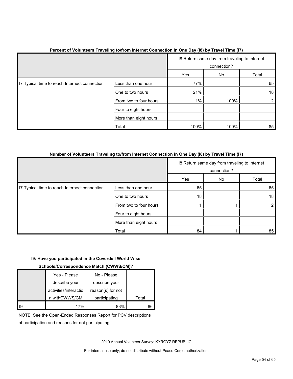|                                               |                        | 18 Return same day from traveling to Internet<br>connection? |      |                |
|-----------------------------------------------|------------------------|--------------------------------------------------------------|------|----------------|
|                                               |                        | Yes                                                          | No   | Total          |
| I7 Typical time to reach Internect connection | Less than one hour     | 77%                                                          |      | 65             |
|                                               | One to two hours       | 21%                                                          |      | 18             |
|                                               | From two to four hours | $1\%$                                                        | 100% | $\overline{2}$ |
|                                               | Four to eight hours    |                                                              |      |                |
|                                               | More than eight hours  |                                                              |      |                |
|                                               | Total                  | 100%                                                         | 100% | 85             |

# **Percent of Volunteers Traveling to/from Internet Connection in One Day (I8) by Travel Time (I7)**

#### **Number of Volunteers Traveling to/from Internet Connection in One Day (I8) by Travel Time (I7)**

|                                               |                        |     | 18 Return same day from traveling to Internet<br>connection? |       |
|-----------------------------------------------|------------------------|-----|--------------------------------------------------------------|-------|
|                                               |                        | Yes | No                                                           | Total |
| I7 Typical time to reach Internect connection | Less than one hour     | 65  |                                                              | 65    |
|                                               | One to two hours       | 18  |                                                              | 18    |
|                                               | From two to four hours |     |                                                              |       |
|                                               | Four to eight hours    |     |                                                              |       |
|                                               | More than eight hours  |     |                                                              |       |
|                                               | Total                  | 84  |                                                              | 85    |

#### **I9: Have you participated in the Coverdell World Wise**

#### **Schools/Correspondence Match (CWWS/CM)?**

|    | Yes - Please          | No - Please       |       |
|----|-----------------------|-------------------|-------|
|    | describe your         | describe your     |       |
|    | activities/interactio | reason(s) for not |       |
|    | n withCWWS/CM         | participating     | Total |
| 19 | 17%                   | 83%               |       |

NOTE: See the Open-Ended Responses Report for PCV descriptions

of participation and reasons for not participating.

2010 Annual Volunteer Survey: KYRGYZ REPUBLIC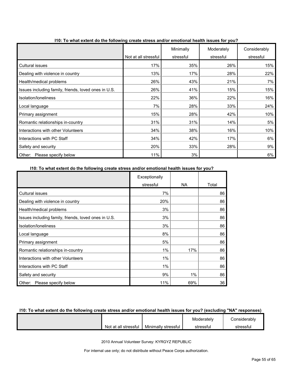|                                                      |                      | Minimally | Moderately | Considerably |
|------------------------------------------------------|----------------------|-----------|------------|--------------|
|                                                      | Not at all stressful | stressful | stressful  | stressful    |
| Cultural issues                                      | 17%                  | 35%       | 26%        | 15%          |
| Dealing with violence in country                     | 13%                  | 17%       | 28%        | 22%          |
| Health/medical problems                              | 26%                  | 43%       | 21%        | 7%           |
| Issues including family, friends, loved ones in U.S. | 26%                  | 41%       | 15%        | 15%          |
| Isolation/Ioneliness                                 | 22%                  | 36%       | 22%        | 16%          |
| Local language                                       | 7%                   | 28%       | 33%        | 24%          |
| Primary assignment                                   | 15%                  | 28%       | 42%        | 10%          |
| Romantic relationships in-country                    | 31%                  | 31%       | 14%        | 5%           |
| Interactions with other Volunteers                   | 34%                  | 38%       | 16%        | 10%          |
| Interactions with PC Staff                           | 34%                  | 42%       | 17%        | 6%           |
| Safety and security                                  | 20%                  | 33%       | 28%        | 9%           |
| Other:<br>Please specify below                       | 11%                  | 3%        |            | 6%           |

**I10: To what extent do the following create stress and/or emotional health issues for you?**

#### **I10: To what extent do the following create stress and/or emotional health issues for you?**

|                                                      | Exceptionally |       |       |
|------------------------------------------------------|---------------|-------|-------|
|                                                      | stressful     | NA.   | Total |
| <b>Cultural issues</b>                               | 7%            |       | 86    |
| Dealing with violence in country                     | 20%           |       | 86    |
| Health/medical problems                              | 3%            |       | 86    |
| Issues including family, friends, loved ones in U.S. | 3%            |       | 86    |
| Isolation/loneliness                                 | 3%            |       | 86    |
| Local language                                       | 8%            |       | 86    |
| Primary assignment                                   | 5%            |       | 86    |
| Romantic relationships in-country                    | 1%            | 17%   | 86    |
| Interactions with other Volunteers                   | $1\%$         |       | 86    |
| Interactions with PC Staff                           | 1%            |       | 86    |
| Safety and security                                  | 9%            | $1\%$ | 86    |
| Please specify below<br>Other:                       | 11%           | 69%   | 36    |

## **I10: To what extent do the following create stress and/or emotional health issues for you? (excluding "NA" responses)**

|                      |                     | Moderately | Considerablv |
|----------------------|---------------------|------------|--------------|
| Not at all stressful | Minimally stressful | stressfu   | stressful    |

2010 Annual Volunteer Survey: KYRGYZ REPUBLIC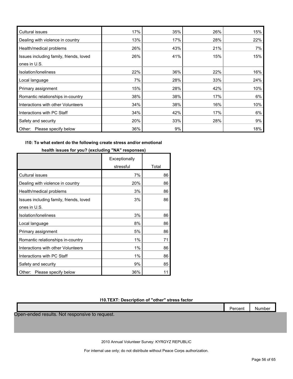| Cultural issues                         | 17% | 35% | 26% | 15% |
|-----------------------------------------|-----|-----|-----|-----|
| Dealing with violence in country        | 13% | 17% | 28% | 22% |
| Health/medical problems                 | 26% | 43% | 21% | 7%  |
| Issues including family, friends, loved | 26% | 41% | 15% | 15% |
| ones in U.S.                            |     |     |     |     |
| Isolation/Ioneliness                    | 22% | 36% | 22% | 16% |
| Local language                          | 7%  | 28% | 33% | 24% |
| Primary assignment                      | 15% | 28% | 42% | 10% |
| Romantic relationships in-country       | 38% | 38% | 17% | 6%  |
| Interactions with other Volunteers      | 34% | 38% | 16% | 10% |
| Interactions with PC Staff              | 34% | 42% | 17% | 6%  |
| Safety and security                     | 20% | 33% | 28% | 9%  |
| Other: Please specify below             | 36% | 9%  |     | 18% |

#### **I10: To what extent do the following create stress and/or emotional**

## **health issues for you? (excluding "NA" responses)**

|                                         | Exceptionally |       |
|-----------------------------------------|---------------|-------|
|                                         | stressful     | Total |
| <b>Cultural issues</b>                  | 7%            | 86    |
| Dealing with violence in country        | 20%           | 86    |
| Health/medical problems                 | 3%            | 86    |
| Issues including family, friends, loved | 3%            | 86    |
| ones in U.S.                            |               |       |
| Isolation/loneliness                    | 3%            | 86    |
| Local language                          | 8%            | 86    |
| Primary assignment                      | 5%            | 86    |
| Romantic relationships in-country       | 1%            | 71    |
| Interactions with other Volunteers      | 1%            | 86    |
| Interactions with PC Staff              | 1%            | 86    |
| Safety and security                     | 9%            | 85    |
| Please specify below<br>Other:          | 36%           | 11    |

# **I10.TEXT: Description of "other" stress factor**

Open-ended results. Not responsive to request.

2010 Annual Volunteer Survey: KYRGYZ REPUBLIC

For internal use only; do not distribute without Peace Corps authorization.

Percent Number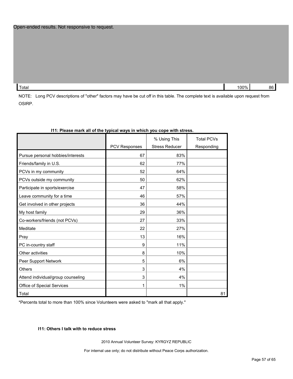Total 100% 86

NOTE: Long PCV descriptions of "other" factors may have be cut off in this table. The complete text is available upon request from OSIRP.

|                                    |                      | % Using This          | <b>Total PCVs</b> |
|------------------------------------|----------------------|-----------------------|-------------------|
|                                    | <b>PCV Responses</b> | <b>Stress Reducer</b> | Responding        |
| Pursue personal hobbies/interests  | 67                   | 83%                   |                   |
| Friends/family in U.S.             | 62                   | 77%                   |                   |
| PCVs in my community               | 52                   | 64%                   |                   |
| PCVs outside my community          | 50                   | 62%                   |                   |
| Participate in sports/exercise     | 47                   | 58%                   |                   |
| Leave community for a time         | 46                   | 57%                   |                   |
| Get involved in other projects     | 36                   | 44%                   |                   |
| My host family                     | 29                   | 36%                   |                   |
| Co-workers/friends (not PCVs)      | 27                   | 33%                   |                   |
| Meditate                           | 22                   | 27%                   |                   |
| Pray                               | 13                   | 16%                   |                   |
| PC in-country staff                | 9                    | 11%                   |                   |
| Other activities                   | 8                    | 10%                   |                   |
| Peer Support Network               | 5                    | 6%                    |                   |
| <b>Others</b>                      | 3                    | 4%                    |                   |
| Attend individual/group counseling | 3                    | 4%                    |                   |
| Office of Special Services         |                      | 1%                    |                   |
| Total                              |                      |                       | 81                |

#### **I11: Please mark all of the typical ways in which you cope with stress.**

\*Percents total to more than 100% since Volunteers were asked to "mark all that apply."

# **I11: Others I talk with to reduce stress**

2010 Annual Volunteer Survey: KYRGYZ REPUBLIC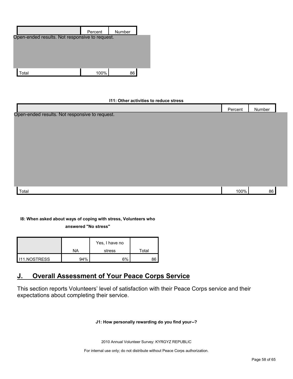|                                                | Percent | Number |  |
|------------------------------------------------|---------|--------|--|
| Open-ended results. Not responsive to request. |         |        |  |
|                                                |         |        |  |
|                                                |         |        |  |
|                                                |         |        |  |
|                                                |         |        |  |
| Total                                          | 100%    | 86     |  |

#### **I11: Other activities to reduce stress**

|                                                | Percent | Number |  |
|------------------------------------------------|---------|--------|--|
| Open-ended results. Not responsive to request. |         |        |  |
|                                                |         |        |  |
|                                                |         |        |  |
|                                                |         |        |  |
|                                                |         |        |  |
|                                                |         |        |  |
|                                                |         |        |  |
|                                                |         |        |  |
|                                                |         |        |  |
|                                                |         |        |  |
|                                                |         |        |  |
| Total                                          | 100%    | 86     |  |

# **I8: When asked about ways of coping with stress, Volunteers who answered "No stress"**

|    | Yes, I have no |       |
|----|----------------|-------|
| NA | stress         | ™otal |
|    |                |       |

 $111.NOSTRESS$  94% 6% 6% 86

# <span id="page-57-0"></span>**J. Overall Assessment of Your Peace Corps Service**

This section reports Volunteers' level of satisfaction with their Peace Corps service and their expectations about completing their service.

#### **J1: How personally rewarding do you find your--?**

2010 Annual Volunteer Survey: KYRGYZ REPUBLIC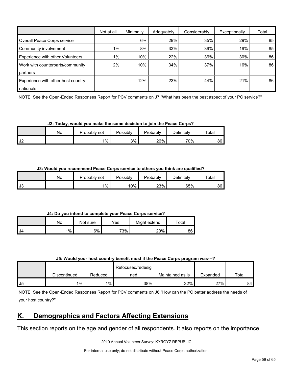|                                    | Not at all | Minimally | Adequately | Considerably | Exceptionally | Total |
|------------------------------------|------------|-----------|------------|--------------|---------------|-------|
| Overall Peace Corps service        |            | 6%        | 29%        | 35%          | 29%           | 85    |
| Community involvement              | $1\%$      | 8%        | 33%        | 39%          | 19%           | 85    |
| Experience with other Volunteers   | $1\%$      | 10%       | 22%        | 36%          | 30%           | 86    |
| Work with counterparts/community   | $2\%$      | 10%       | 34%        | 37%          | 16%           | 86    |
| partners                           |            |           |            |              |               |       |
| Experience with other host country |            | 12%       | 23%        | 44%          | 21%           | 86    |
| nationals                          |            |           |            |              |               |       |

NOTE: See the Open-Ended Responses Report for PCV comments on J7 "What has been the best aspect of your PC service?"

**J2: Today, would you make the same decision to join the Peace Corps?**

|               | No | Probably<br>not | Possibly | Probably | Definitely | Total |
|---------------|----|-----------------|----------|----------|------------|-------|
| $\sim$<br>ے ت |    | $1\%$           | 3%       | 26%      | 70%        | 86    |

**J3: Would you recommend Peace Corps service to others you think are qualified?**

|    | No | Probably i<br>not | Possibly | Probably | Definitely | Total |
|----|----|-------------------|----------|----------|------------|-------|
| J3 |    | $1\%$             | 10%      | 23%      | 65%        | 86 I  |

**J4: Do you intend to complete your Peace Corps service?**

|      | No    | Not sure | Yes | Might extend | $\tau$ otal |
|------|-------|----------|-----|--------------|-------------|
| I J4 | $1\%$ | 6%       | 73% | 20%          | 86          |

| J5: Would your host country benefit most if the Peace Corps program was---? |  |
|-----------------------------------------------------------------------------|--|
|-----------------------------------------------------------------------------|--|

|    |              |         | Refocused/redesig |                  |          |       |
|----|--------------|---------|-------------------|------------------|----------|-------|
|    | Discontinued | Reduced | ned               | Maintained as is | Expanded | Total |
| J5 | 1%           | $1\%$   | 38%               | 32%              | 27%      | 84    |

NOTE: See the Open-Ended Responses Report for PCV comments on J6 "How can the PC better address the needs of your host country?"

# <span id="page-58-0"></span>**K. Demographics and Factors Affecting Extensions**

This section reports on the age and gender of all respondents. It also reports on the importance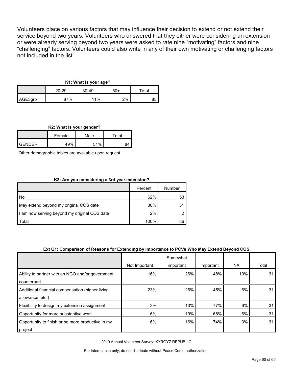Volunteers place on various factors that may influence their decision to extend or not extend their service beyond two years. Volunteers who answered that they either were considering an extension or were already serving beyond two years were asked to rate nine "motivating" factors and nine "challenging" factors. Volunteers could also write in any of their own motivating or challenging factors not included in the list.

# **K1: What is your age?**

|         | 20-29 | $30 - 49$ | 50+ | $\tau$ otal |
|---------|-------|-----------|-----|-------------|
| AGE3grp | ን7%   | 11%       | 2%  | υ.          |

# **K2: What is your gender?**

|               | Female | Male | $^\mathsf{\tau}$ otal $^-$ |  |
|---------------|--------|------|----------------------------|--|
| <b>GENDER</b> | 49%    | 51%  | 84                         |  |

Other demographic tables are available upon request

# **K8: Are you considering a 3rd year extension?**

|                                              | Percent | Number |
|----------------------------------------------|---------|--------|
| l No                                         | 62%     | 53     |
| May extend beyond my original COS date       | 36%     | 31     |
| I am now serving beyond my original COS date | 2%      |        |
| Total                                        | 100%    | 86     |

# **Ext Q1: Comparison of Reasons for Extending by Importance to PCVs Who May Extend Beyond COS**

|                                                                      |               | Somewhat  |           |     |       |
|----------------------------------------------------------------------|---------------|-----------|-----------|-----|-------|
|                                                                      | Not Important | important | Important | NA. | Total |
| Ability to partner with an NGO and/or government<br>counterpart      | 16%           | 26%       | 48%       | 10% | 31    |
| Additional financial compensation (higher living<br>allowance, etc.) | 23%           | 26%       | 45%       | 6%  | 31    |
| Flexibility to design my extension assignment                        | 3%            | 13%       | 77%       | 6%  | 31    |
| Opportunity for more substantive work                                | 6%            | 19%       | 68%       | 6%  | 31    |
| Opportunity to finish or be more productive in my<br>project         | 6%            | 16%       | 74%       | 3%  | 31    |

2010 Annual Volunteer Survey: KYRGYZ REPUBLIC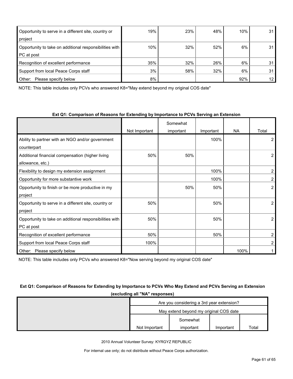| Opportunity to serve in a different site, country or    | 19% | 23% | 48% | 10% | 31              |
|---------------------------------------------------------|-----|-----|-----|-----|-----------------|
| project                                                 |     |     |     |     |                 |
| Opportunity to take on additional responsibilities with | 10% | 32% | 52% | 6%  | 31 <sub>1</sub> |
| PC at post                                              |     |     |     |     |                 |
| Recognition of excellent performance                    | 35% | 32% | 26% | 6%  | 31              |
| Support from local Peace Corps staff                    | 3%  | 58% | 32% | 6%  | 31 <sub>1</sub> |
| Other:<br>Please specify below                          | 8%  |     |     | 92% | 12 <sup>°</sup> |

NOTE: This table includes only PCVs who answered K8="May extend beyond my original COS date"

#### **Ext Q1: Comparison of Reasons for Extending by Importance to PCVs Serving an Extension**

|                                                         |               | Somewhat  |           |           |                |
|---------------------------------------------------------|---------------|-----------|-----------|-----------|----------------|
|                                                         | Not Important | important | Important | <b>NA</b> | Total          |
| Ability to partner with an NGO and/or government        |               |           | 100%      |           | 2              |
| counterpart                                             |               |           |           |           |                |
| Additional financial compensation (higher living        | 50%           | 50%       |           |           | 2              |
| allowance, etc.)                                        |               |           |           |           |                |
| Flexibility to design my extension assignment           |               |           | 100%      |           |                |
| Opportunity for more substantive work                   |               |           | 100%      |           | 2              |
| Opportunity to finish or be more productive in my       |               | 50%       | 50%       |           | $\overline{2}$ |
| project                                                 |               |           |           |           |                |
| Opportunity to serve in a different site, country or    | 50%           |           | 50%       |           | 2              |
| project                                                 |               |           |           |           |                |
| Opportunity to take on additional responsibilities with | 50%           |           | 50%       |           | 2              |
| PC at post                                              |               |           |           |           |                |
| Recognition of excellent performance                    | 50%           |           | 50%       |           | 2              |
| Support from local Peace Corps staff                    | 100%          |           |           |           |                |
| Other:<br>Please specify below                          |               |           |           | 100%      |                |

NOTE: This table includes only PCVs who answered K8="Now serving beyond my original COS date"

# **Ext Q1: Comparison of Reasons for Extending by Importance to PCVs Who May Extend and PCVs Serving an Extension (excluding all "NA" responses)**

| Are you considering a 3rd year extension? |           |           |       |  |
|-------------------------------------------|-----------|-----------|-------|--|
| May extend beyond my original COS date    |           |           |       |  |
|                                           | Somewhat  |           |       |  |
| Not Important                             | important | Important | Total |  |

2010 Annual Volunteer Survey: KYRGYZ REPUBLIC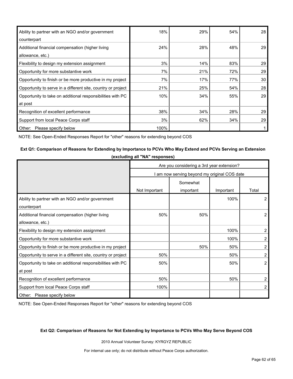| Ability to partner with an NGO and/or government             | 18%  | 29% | 54% | 28 |
|--------------------------------------------------------------|------|-----|-----|----|
| counterpart                                                  |      |     |     |    |
| Additional financial compensation (higher living             | 24%  | 28% | 48% | 29 |
| allowance, etc.)                                             |      |     |     |    |
| Flexibility to design my extension assignment                | 3%   | 14% | 83% | 29 |
| Opportunity for more substantive work                        | 7%   | 21% | 72% | 29 |
| Opportunity to finish or be more productive in my project    | 7%   | 17% | 77% | 30 |
| Opportunity to serve in a different site, country or project | 21%  | 25% | 54% | 28 |
| Opportunity to take on additional responsibilities with PC   | 10%  | 34% | 55% | 29 |
| at post                                                      |      |     |     |    |
| Recognition of excellent performance                         | 38%  | 34% | 28% | 29 |
| Support from local Peace Corps staff                         | 3%   | 62% | 34% | 29 |
| Other:<br>Please specify below                               | 100% |     |     |    |

NOTE: See Open-Ended Responses Report for "other" reasons for extending beyond COS

#### **Ext Q1: Comparison of Reasons for Extending by Importance to PCVs Who May Extend and PCVs Serving an Extension**

|                                                              | Are you considering a 3rd year extension? |                                            |           |                |  |
|--------------------------------------------------------------|-------------------------------------------|--------------------------------------------|-----------|----------------|--|
|                                                              |                                           | am now serving beyond my original COS date |           |                |  |
|                                                              |                                           | Somewhat                                   |           |                |  |
|                                                              | Not Important                             | important                                  | Important | Total          |  |
| Ability to partner with an NGO and/or government             |                                           |                                            | 100%      | 2              |  |
| counterpart                                                  |                                           |                                            |           |                |  |
| Additional financial compensation (higher living             | 50%                                       | 50%                                        |           | $\overline{2}$ |  |
| allowance, etc.)                                             |                                           |                                            |           |                |  |
| Flexibility to design my extension assignment                |                                           |                                            | 100%      | $\overline{2}$ |  |
| Opportunity for more substantive work                        |                                           |                                            | 100%      | 2              |  |
| Opportunity to finish or be more productive in my project    |                                           | 50%                                        | 50%       | 2              |  |
| Opportunity to serve in a different site, country or project | 50%                                       |                                            | 50%       | 2              |  |
| Opportunity to take on additional responsibilities with PC   | 50%                                       |                                            | 50%       | $\overline{2}$ |  |
| at post                                                      |                                           |                                            |           |                |  |
| Recognition of excellent performance                         | 50%                                       |                                            | 50%       | $\overline{2}$ |  |
| Support from local Peace Corps staff                         | 100%                                      |                                            |           | 2              |  |
| Other: Please specify below                                  |                                           |                                            |           |                |  |

NOTE: See Open-Ended Responses Report for "other" reasons for extending beyond COS

#### **Ext Q2: Comparison of Reasons for Not Extending by Importance to PCVs Who May Serve Beyond COS**

2010 Annual Volunteer Survey: KYRGYZ REPUBLIC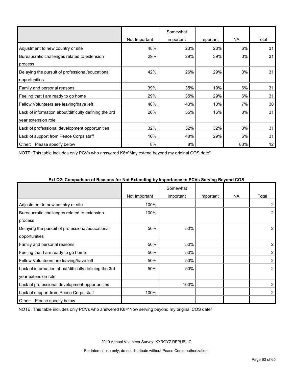|                                                       |               | Somewhat  |           |     |       |
|-------------------------------------------------------|---------------|-----------|-----------|-----|-------|
|                                                       | Not Important | important | Important | NA  | Total |
| Adjustment to new country or site                     | 48%           | 23%       | 23%       | 6%  | 31    |
| Bureaucratic challenges related to extension          | 29%           | 29%       | 39%       | 3%  | 31    |
| process                                               |               |           |           |     |       |
| Delaying the pursuit of professional/educational      | 42%           | 26%       | 29%       | 3%  | 31    |
| opportunities                                         |               |           |           |     |       |
| Family and personal reasons                           | 39%           | 35%       | 19%       | 6%  | 31    |
| Feeling that I am ready to go home                    | 29%           | 35%       | 29%       | 6%  | 31    |
| Fellow Volunteers are leaving/have left               | 40%           | 43%       | 10%       | 7%  | 30    |
| Lack of information about/difficulty defining the 3rd | 26%           | 55%       | 16%       | 3%  | 31    |
| year extension role                                   |               |           |           |     |       |
| Lack of professional development opportunities        | 32%           | 32%       | 32%       | 3%  | 31    |
| Lack of support from Peace Corps staff                | 16%           | 48%       | 29%       | 6%  | 31    |
| Other: Please specify below                           | 8%            | 8%        |           | 83% | 12    |

NOTE: This table includes only PCVs who answered K8="May extend beyond my original COS date"

| Ext Q2: Comparison of Reasons for Not Extending by Importance to PCVs Serving Beyond COS |  |  |
|------------------------------------------------------------------------------------------|--|--|
|                                                                                          |  |  |
|                                                                                          |  |  |

|                                                       |               | Somewhat  |           |           |                |
|-------------------------------------------------------|---------------|-----------|-----------|-----------|----------------|
|                                                       | Not Important | important | Important | <b>NA</b> | Total          |
| Adjustment to new country or site                     | 100%          |           |           |           | 2              |
| Bureaucratic challenges related to extension          | 100%          |           |           |           | $\overline{2}$ |
| process                                               |               |           |           |           |                |
| Delaying the pursuit of professional/educational      | 50%           | 50%       |           |           | 2              |
| opportunities                                         |               |           |           |           |                |
| Family and personal reasons                           | 50%           | 50%       |           |           | $\overline{2}$ |
| Feeling that I am ready to go home                    | 50%           | 50%       |           |           | 2              |
| Fellow Volunteers are leaving/have left               | 50%           | 50%       |           |           | 2              |
| Lack of information about/difficulty defining the 3rd | 50%           | 50%       |           |           | 2              |
| year extension role                                   |               |           |           |           |                |
| Lack of professional development opportunities        |               | 100%      |           |           | 2              |
| Lack of support from Peace Corps staff                | 100%          |           |           |           | 2              |
| Other:<br>Please specify below                        |               |           |           |           |                |

NOTE: This table includes only PCVs who answered K8="Now serving beyond my original COS date"

2010 Annual Volunteer Survey: KYRGYZ REPUBLIC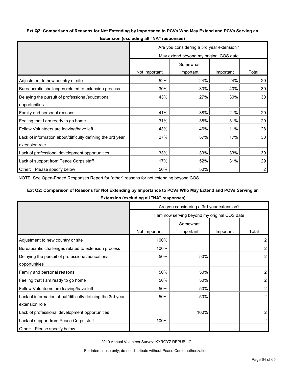## **Ext Q2: Comparison of Reasons for Not Extending by Importance to PCVs Who May Extend and PCVs Serving an**

|                                                            | Are you considering a 3rd year extension? |           |           |                |  |
|------------------------------------------------------------|-------------------------------------------|-----------|-----------|----------------|--|
|                                                            | May extend beyond my original COS date    |           |           |                |  |
|                                                            |                                           | Somewhat  |           |                |  |
|                                                            | Not Important                             | important | Important | Total          |  |
| Adjustment to new country or site                          | 52%                                       | 24%       | 24%       | 29             |  |
| Bureaucratic challenges related to extension process       | 30%                                       | 30%       | 40%       | 30             |  |
| Delaying the pursuit of professional/educational           | 43%                                       | 27%       | 30%       | 30             |  |
| opportunities                                              |                                           |           |           |                |  |
| Family and personal reasons                                | 41%                                       | 38%       | 21%       | 29             |  |
| Feeling that I am ready to go home                         | 31%                                       | 38%       | 31%       | 29             |  |
| Fellow Volunteers are leaving/have left                    | 43%                                       | 46%       | 11%       | 28             |  |
| Lack of information about/difficulty defining the 3rd year | 27%                                       | 57%       | 17%       | 30             |  |
| extension role                                             |                                           |           |           |                |  |
| Lack of professional development opportunities             | 33%                                       | 33%       | 33%       | 30             |  |
| Lack of support from Peace Corps staff                     | 17%                                       | 52%       | 31%       | 29             |  |
| Other: Please specify below                                | 50%                                       | 50%       |           | $\overline{2}$ |  |

**Extension (excluding all "NA" responses)**

NOTE: See Open-Ended Responses Report for "other" reasons for not extending beyond COS

# **Ext Q2: Comparison of Reasons for Not Extending by Importance to PCVs Who May Extend and PCVs Serving an**

**Extension (excluding all "NA" responses)**

|                                                            | Are you considering a 3rd year extension? |                                              |           |                |  |
|------------------------------------------------------------|-------------------------------------------|----------------------------------------------|-----------|----------------|--|
|                                                            |                                           | I am now serving beyond my original COS date |           |                |  |
|                                                            |                                           | Somewhat                                     |           |                |  |
|                                                            | Not Important                             | important                                    | Important | Total          |  |
| Adjustment to new country or site                          | 100%                                      |                                              |           | 2              |  |
| Bureaucratic challenges related to extension process       | 100%                                      |                                              |           | 2              |  |
| Delaying the pursuit of professional/educational           | 50%                                       | 50%                                          |           | $\overline{2}$ |  |
| opportunities                                              |                                           |                                              |           |                |  |
| Family and personal reasons                                | 50%                                       | 50%                                          |           | 2              |  |
| Feeling that I am ready to go home                         | 50%                                       | 50%                                          |           | 2              |  |
| Fellow Volunteers are leaving/have left                    | 50%                                       | 50%                                          |           | $\overline{a}$ |  |
| Lack of information about/difficulty defining the 3rd year | 50%                                       | 50%                                          |           | $\overline{2}$ |  |
| extension role                                             |                                           |                                              |           |                |  |
| Lack of professional development opportunities             |                                           | 100%                                         |           | 2              |  |
| Lack of support from Peace Corps staff                     | 100%                                      |                                              |           | 2              |  |
| Please specify below<br>Other:                             |                                           |                                              |           |                |  |

2010 Annual Volunteer Survey: KYRGYZ REPUBLIC